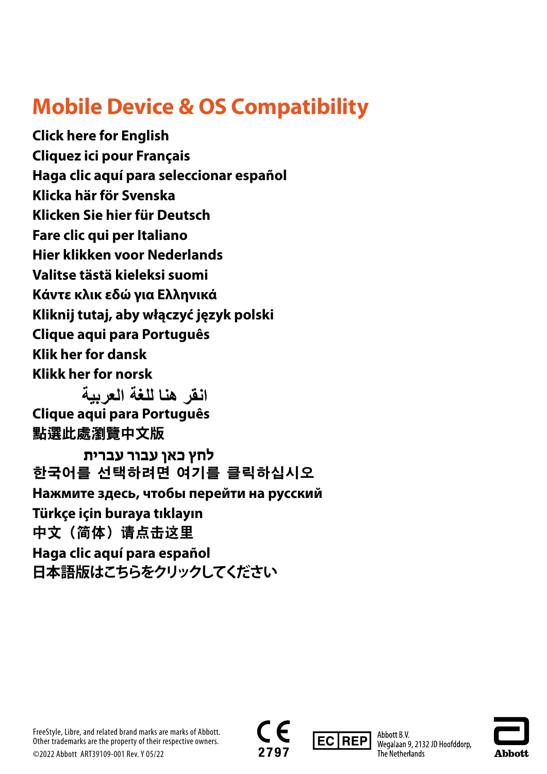# **Mobile Device & OS Compatibility**

**[Click here for English](#page-1-0) [Cliquez ici pour Français](#page-2-0) [Haga clic aquí para seleccionar español](#page-3-0) [Klicka här för Svenska](#page-4-0) [Klicken Sie hier für Deutsch](#page-5-0) [Fare clic qui per Italiano](#page-6-0) [Hier klikken voor Nederlands](#page-7-0) [Valitse tästä kieleksi suomi](#page-8-0) [Κάντε κλικ εδώ για Ελληνικά](#page-9-0) [Kliknij tutaj, aby włączyć język polski](#page-10-0) [Clique aqui para Português](#page-11-0) [Klik her for dansk](#page-12-0) [Klikk her for norsk](#page-13-0)**

**[Clique aqui para Português](#page-15-0)** [點選此處瀏覽中文版](#page-16-0) **[انقر هنا للغة العربية](#page-14-0)** 

**[한국어를 선택하려면 여기를 클릭하십시오](#page-18-0) [Нажмите здесь, чтобы перейти на русский](#page-19-0) [Türkçe için buraya tıklayın](#page-20-0)** [中文\(简体\)请点击这里](#page-21-0) **[Haga clic aquí para español](#page-22-0) [日本語版はこちらをクリックしてください](#page-23-0) [לחץ כאן עבור עברית](#page-17-0)** 

FreeStyle, Libre, and related brand marks are marks of Abbott. Other trademarks are the property of their respective owners. ©2022 Abbott ART39109-001 Rev. Y 05/22





Abbott B.V. Wegalaan 9, 2132 JD Hoofddorp, The Netherlands

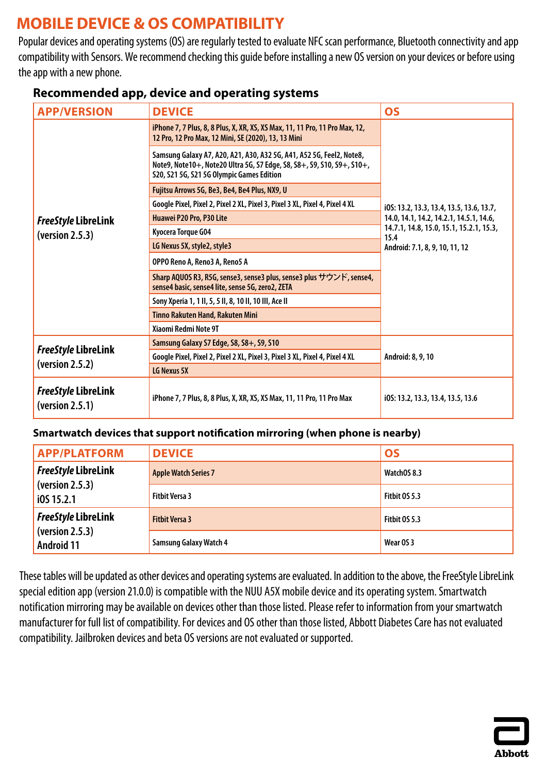# <span id="page-1-0"></span>**MOBILE DEVICE & OS COMPATIBILITY**

Popular devices and operating systems (OS) are regularly tested to evaluate NFC scan performance, Bluetooth connectivity and app compatibility with Sensors. We recommend checking this guide before installing a new OS version on your devices or before using the app with a new phone.

| <b>APP/VERSION</b>                            | <b>DEVICE</b>                                                                                                                                                                               | <b>OS</b>                                                                         |
|-----------------------------------------------|---------------------------------------------------------------------------------------------------------------------------------------------------------------------------------------------|-----------------------------------------------------------------------------------|
|                                               | iPhone 7, 7 Plus, 8, 8 Plus, X, XR, XS, XS Max, 11, 11 Pro, 11 Pro Max, 12,<br>12 Pro, 12 Pro Max, 12 Mini, SE (2020), 13, 13 Mini                                                          |                                                                                   |
|                                               | Samsung Galaxy A7, A20, A21, A30, A32 5G, A41, A52 5G, Feel2, Note8,<br>Note9, Note10+, Note20 Ultra 5G, S7 Edge, S8, S8+, S9, S10, S9+, S10+,<br>S20, S21 5G, S21 5G Olympic Games Edition |                                                                                   |
|                                               | Fujitsu Arrows 5G, Be3, Be4, Be4 Plus, NX9, U                                                                                                                                               |                                                                                   |
|                                               | Google Pixel, Pixel 2, Pixel 2 XL, Pixel 3, Pixel 3 XL, Pixel 4, Pixel 4 XL                                                                                                                 | i0S: 13.2, 13.3, 13.4, 13.5, 13.6, 13.7,                                          |
| <b>FreeStyle LibreLink</b>                    | Huawei P20 Pro, P30 Lite                                                                                                                                                                    | 14.0, 14.1, 14.2, 14.2.1, 14.5.1, 14.6,                                           |
| (yersion 2.5.3)                               | Kyocera Torque G04                                                                                                                                                                          | 14.7.1, 14.8, 15.0, 15.1, 15.2.1, 15.3,<br>15.4<br>Android: 7.1, 8, 9, 10, 11, 12 |
|                                               | LG Nexus 5X, style2, style3                                                                                                                                                                 |                                                                                   |
|                                               | OPPO Reno A, Reno3 A, Reno5 A                                                                                                                                                               |                                                                                   |
|                                               | Sharp AQUOS R3, R5G, sense3, sense3 plus, sense3 plus サウンド, sense4,<br>sense4 basic, sense4 lite, sense 5G, zero2, ZETA                                                                     |                                                                                   |
|                                               | Sony Xperia 1, 1 II, 5, 5 II, 8, 10 II, 10 III, Ace II                                                                                                                                      |                                                                                   |
|                                               | Tinno Rakuten Hand, Rakuten Mini                                                                                                                                                            |                                                                                   |
|                                               | Xiaomi Redmi Note 9T                                                                                                                                                                        |                                                                                   |
| <b>FreeStyle LibreLink</b><br>(version 2.5.2) | Samsung Galaxy S7 Edge, S8, S8+, S9, S10                                                                                                                                                    |                                                                                   |
|                                               | Google Pixel, Pixel 2, Pixel 2 XL, Pixel 3, Pixel 3 XL, Pixel 4, Pixel 4 XL                                                                                                                 | Android: 8, 9, 10                                                                 |
|                                               | LG Nexus 5X                                                                                                                                                                                 |                                                                                   |
| <b>FreeStyle LibreLink</b><br>(yersion 2.5.1) | iPhone 7, 7 Plus, 8, 8 Plus, X, XR, XS, XS Max, 11, 11 Pro, 11 Pro Max                                                                                                                      | i0S: 13.2, 13.3, 13.4, 13.5, 13.6                                                 |

### **Recommended app, device and operating systems**

### **Smartwatch devices that support notification mirroring (when phone is nearby)**

| <b>APP/PLATFORM</b>                  | <b>DEVICE</b>                 | <b>OS</b>     |
|--------------------------------------|-------------------------------|---------------|
| <b>FreeStyle LibreLink</b>           | <b>Apple Watch Series 7</b>   | WatchOS 8.3   |
| (version 2.5.3)<br>10515.2.1         | <b>Fitbit Versa 3</b>         | Fitbit OS 5.3 |
| <b>FreeStyle LibreLink</b>           | <b>Fitbit Versa 3</b>         | Fitbit OS 5.3 |
| (version 2.5.3)<br><b>Android 11</b> | <b>Samsung Galaxy Watch 4</b> | Wear OS 3     |

These tables will be updated as other devices and operating systems are evaluated. In addition to the above, the FreeStyle LibreLink special edition app (version 21.0.0) is compatible with the NUU A5X mobile device and its operating system. Smartwatch notification mirroring may be available on devices other than those listed. Please refer to information from your smartwatch manufacturer for full list of compatibility. For devices and OS other than those listed, Abbott Diabetes Care has not evaluated compatibility. Jailbroken devices and beta OS versions are not evaluated or supported.

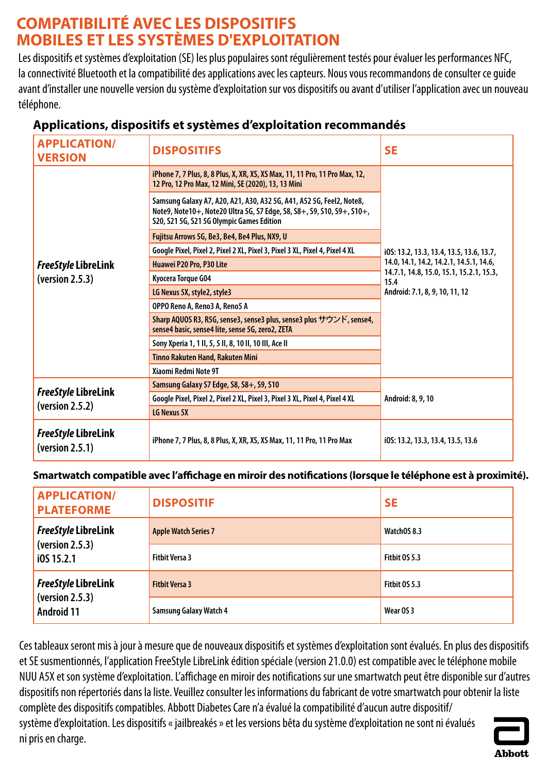# <span id="page-2-0"></span>**COMPATIBILITÉ AVEC LES DISPOSITIFS MOBILES ET LES SYSTÈMES D'EXPLOITATION**

Les dispositifs et systèmes d'exploitation (SE) les plus populaires sont régulièrement testés pour évaluer les performances NFC, la connectivité Bluetooth et la compatibilité des applications avec les capteurs. Nous vous recommandons de consulter ce guide avant d'installer une nouvelle version du système d'exploitation sur vos dispositifs ou avant d'utiliser l'application avec un nouveau téléphone.

| <b>APPLICATION/</b><br><b>VERSION</b>         | <b>DISPOSITIFS</b>                                                                                                                                                                          | <b>SE</b>                                                                         |
|-----------------------------------------------|---------------------------------------------------------------------------------------------------------------------------------------------------------------------------------------------|-----------------------------------------------------------------------------------|
|                                               | iPhone 7, 7 Plus, 8, 8 Plus, X, XR, XS, XS Max, 11, 11 Pro, 11 Pro Max, 12,<br>12 Pro, 12 Pro Max, 12 Mini, SE (2020), 13, 13 Mini                                                          |                                                                                   |
|                                               | Samsung Galaxy A7, A20, A21, A30, A32 5G, A41, A52 5G, Feel2, Note8,<br>Note9, Note10+, Note20 Ultra 5G, S7 Edge, S8, S8+, S9, S10, S9+, S10+,<br>S20, S21 5G, S21 5G Olympic Games Edition |                                                                                   |
|                                               | Fujitsu Arrows 5G, Be3, Be4, Be4 Plus, NX9, U                                                                                                                                               |                                                                                   |
|                                               | Google Pixel, Pixel 2, Pixel 2 XL, Pixel 3, Pixel 3 XL, Pixel 4, Pixel 4 XL                                                                                                                 | i0S: 13.2, 13.3, 13.4, 13.5, 13.6, 13.7,                                          |
| <b>FreeStyle LibreLink</b>                    | Huawei P20 Pro, P30 Lite                                                                                                                                                                    | 14.0, 14.1, 14.2, 14.2.1, 14.5.1, 14.6,                                           |
| (yersion 2.5.3)                               | Kyocera Torque G04                                                                                                                                                                          | 14.7.1, 14.8, 15.0, 15.1, 15.2.1, 15.3,<br>15.4<br>Android: 7.1, 8, 9, 10, 11, 12 |
|                                               | LG Nexus 5X, style2, style3                                                                                                                                                                 |                                                                                   |
|                                               | OPPO Reno A, Reno3 A, Reno5 A                                                                                                                                                               |                                                                                   |
|                                               | Sharp AQUOS R3, R5G, sense3, sense3 plus, sense3 plus サウンド, sense4,<br>sense4 basic, sense4 lite, sense 5G, zero2, ZETA                                                                     |                                                                                   |
|                                               | Sony Xperia 1, 1 II, 5, 5 II, 8, 10 II, 10 III, Ace II                                                                                                                                      |                                                                                   |
|                                               | Tinno Rakuten Hand, Rakuten Mini                                                                                                                                                            |                                                                                   |
|                                               | Xiaomi Redmi Note 9T                                                                                                                                                                        |                                                                                   |
| <b>FreeStyle LibreLink</b><br>(yersion 2.5.2) | Samsung Galaxy S7 Edge, S8, S8+, S9, S10                                                                                                                                                    | Android: 8, 9, 10                                                                 |
|                                               | Google Pixel, Pixel 2, Pixel 2 XL, Pixel 3, Pixel 3 XL, Pixel 4, Pixel 4 XL                                                                                                                 |                                                                                   |
|                                               | LG Nexus 5X                                                                                                                                                                                 |                                                                                   |
| <b>FreeStyle LibreLink</b><br>(yersion 2.5.1) | iPhone 7, 7 Plus, 8, 8 Plus, X, XR, XS, XS Max, 11, 11 Pro, 11 Pro Max                                                                                                                      | i0S: 13.2, 13.3, 13.4, 13.5, 13.6                                                 |

## **Applications, dispositifs et systèmes d'exploitation recommandés**

**Smartwatch compatible avec l'affichage en miroir des notifications (lorsque le téléphone est à proximité).**

| <b>APPLICATION/</b><br><b>PLATEFORME</b> | <b>DISPOSITIF</b>             | <b>SE</b>     |
|------------------------------------------|-------------------------------|---------------|
| <b>FreeStyle LibreLink</b>               | <b>Apple Watch Series 7</b>   | WatchOS 8.3   |
| (yersion 2.5.3)<br>i0S 15.2.1            | <b>Fitbit Versa 3</b>         | Fitbit OS 5.3 |
| <b>FreeStyle LibreLink</b>               | <b>Fitbit Versa 3</b>         | Fitbit OS 5.3 |
| (yersion 2.5.3)<br><b>Android 11</b>     | <b>Samsung Galaxy Watch 4</b> | Wear OS 3     |

Ces tableaux seront mis à jour à mesure que de nouveaux dispositifs et systèmes d'exploitation sont évalués. En plus des dispositifs et SE susmentionnés, l'application FreeStyle LibreLink édition spéciale (version 21.0.0) est compatible avec le téléphone mobile NUU A5X et son système d'exploitation. L'affichage en miroir des notifications sur une smartwatch peut être disponible sur d'autres dispositifs non répertoriés dans la liste. Veuillez consulter les informations du fabricant de votre smartwatch pour obtenir la liste complète des dispositifs compatibles. Abbott Diabetes Care n'a évalué la compatibilité d'aucun autre dispositif/ système d'exploitation. Les dispositifs « jailbreakés » et les versions bêta du système d'exploitation ne sont ni évalués ni pris en charge.

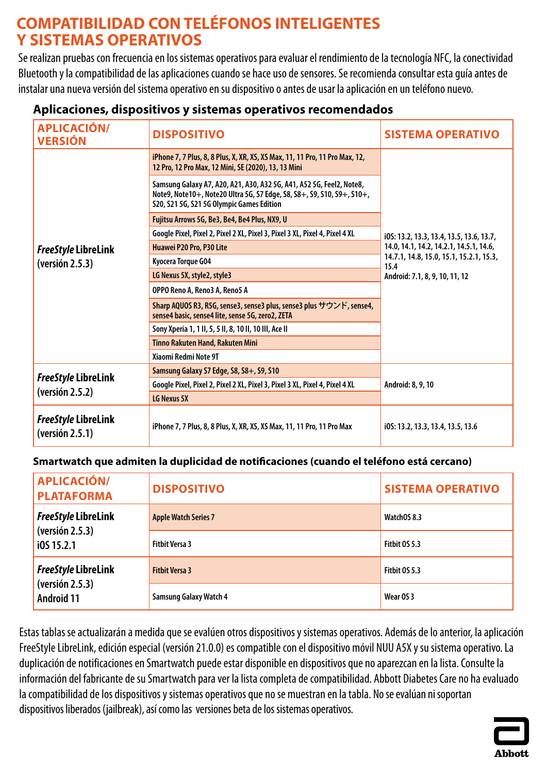# <span id="page-3-0"></span>**COMPATIBILIDAD CON TELÉFONOS INTELIGENTES Y SISTEMAS OPERATIVOS**

Se realizan pruebas con frecuencia en los sistemas operativos para evaluar el rendimiento de la tecnología NFC, la conectividad Bluetooth y la compatibilidad de las aplicaciones cuando se hace uso de sensores. Serecomienda consultar esta guía antes de instalar una nueva versión del sistema operativo en su dispositivo o antes de usar la aplicación en un teléfono nuevo.

| <b>APLICACIÓN/</b><br><b>VERSIÓN</b>          | <b>DISPOSITIVO</b>                                                                                                                                                                          | <b>SISTEMA OPERATIVO</b>                                                                                                     |
|-----------------------------------------------|---------------------------------------------------------------------------------------------------------------------------------------------------------------------------------------------|------------------------------------------------------------------------------------------------------------------------------|
|                                               | iPhone 7, 7 Plus, 8, 8 Plus, X, XR, XS, XS Max, 11, 11 Pro, 11 Pro Max, 12,<br>12 Pro, 12 Pro Max, 12 Mini, SE (2020), 13, 13 Mini                                                          |                                                                                                                              |
|                                               | Samsung Galaxy A7, A20, A21, A30, A32 5G, A41, A52 5G, Feel2, Note8,<br>Note9, Note10+, Note20 Ultra 5G, S7 Edge, S8, S8+, S9, S10, S9+, S10+,<br>S20, S21 5G, S21 5G Olympic Games Edition |                                                                                                                              |
|                                               | Fujitsu Arrows 5G, Be3, Be4, Be4 Plus, NX9, U                                                                                                                                               |                                                                                                                              |
|                                               | Google Pixel, Pixel 2, Pixel 2 XL, Pixel 3, Pixel 3 XL, Pixel 4, Pixel 4 XL                                                                                                                 | i0S: 13.2, 13.3, 13.4, 13.5, 13.6, 13.7,                                                                                     |
| <b>FreeStyle LibreLink</b>                    | Huawei P20 Pro, P30 Lite                                                                                                                                                                    | 14.0, 14.1, 14.2, 14.2.1, 14.5.1, 14.6,<br>14.7.1, 14.8, 15.0, 15.1, 15.2.1, 15.3,<br>15.4<br>Android: 7.1, 8, 9, 10, 11, 12 |
| (yersión 2.5.3)                               | Kyocera Torque G04                                                                                                                                                                          |                                                                                                                              |
|                                               | LG Nexus 5X, style2, style3                                                                                                                                                                 |                                                                                                                              |
|                                               | OPPO Reno A, Reno3 A, Reno5 A                                                                                                                                                               |                                                                                                                              |
|                                               | Sharp AQUOS R3, R5G, sense3, sense3 plus, sense3 plus サウンド, sense4,<br>sense4 basic, sense4 lite, sense 5G, zero2, ZETA                                                                     |                                                                                                                              |
|                                               | Sony Xperia 1, 1 II, 5, 5 II, 8, 10 II, 10 III, Ace II                                                                                                                                      |                                                                                                                              |
|                                               | <b>Tinno Rakuten Hand, Rakuten Mini</b>                                                                                                                                                     |                                                                                                                              |
|                                               | Xiaomi Redmi Note 9T                                                                                                                                                                        |                                                                                                                              |
| <b>FreeStyle LibreLink</b><br>(yersión 2.5.2) | Samsung Galaxy S7 Edge, S8, S8+, S9, S10                                                                                                                                                    | Android: 8, 9, 10                                                                                                            |
|                                               | Google Pixel, Pixel 2, Pixel 2 XL, Pixel 3, Pixel 3 XL, Pixel 4, Pixel 4 XL                                                                                                                 |                                                                                                                              |
|                                               | LG Nexus 5X                                                                                                                                                                                 |                                                                                                                              |
| <b>FreeStyle LibreLink</b><br>(version 2.5.1) | iPhone 7, 7 Plus, 8, 8 Plus, X, XR, XS, XS Max, 11, 11 Pro, 11 Pro Max                                                                                                                      | i0S: 13.2, 13.3, 13.4, 13.5, 13.6                                                                                            |

### **Aplicaciones, dispositivos y sistemas operativos recomendados**

### **Smartwatch que admiten la duplicidad de notificaciones (cuando el teléfono está cercano)**

| <b>APLICACIÓN/</b><br><b>PLATAFORMA</b> | <b>DISPOSITIVO</b>            | <b>SISTEMA OPERATIVO</b> |
|-----------------------------------------|-------------------------------|--------------------------|
| <b>FreeStyle LibreLink</b>              | <b>Apple Watch Series 7</b>   | WatchOS 8.3              |
| (yersión 2.5.3)<br>10515.2.1            | <b>Fithit Versa 3</b>         | Fitbit OS 5.3            |
| <b>FreeStyle LibreLink</b>              | <b>Fitbit Versa 3</b>         | Fitbit OS 5.3            |
| (yersión 2.5.3)<br><b>Android 11</b>    | <b>Samsung Galaxy Watch 4</b> | Wear OS 3                |

Estas tablas se actualizarán a medida que se evalúen otros dispositivos y sistemas operativos. Además de lo anterior, la aplicación FreeStyle LibreLink, edición especial (versión 21.0.0) es compatible con el dispositivo móvil NUU A5X y su sistema operativo. La duplicación de notificaciones en Smartwatch puede estar disponible en dispositivos que no aparezcan en la lista. Consulte la información del fabricante de su Smartwatch para ver la lista completa de compatibilidad. Abbott Diabetes Care no ha evaluado la compatibilidad de los dispositivos y sistemas operativos que no se muestran en la tabla. Nose evalúan ni soportan dispositivos liberados (jailbreak), así como las versiones beta de los sistemas operativos.

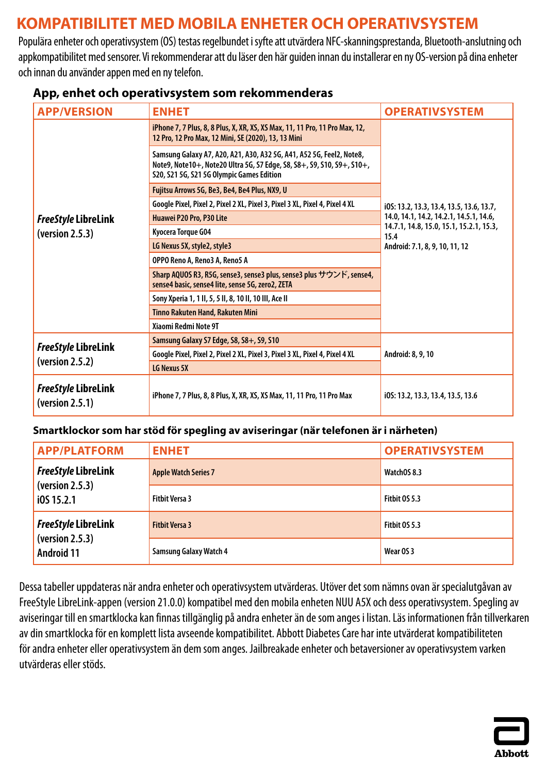# <span id="page-4-0"></span>**KOMPATIBILITET MED MOBILA ENHETER OCH OPERATIVSYSTEM**

Populära enheter och operativsystem (OS) testas regelbundet i syfte att utvärdera NFC-skanningsprestanda, Bluetooth-anslutning och appkompatibilitet med sensorer. Vi rekommenderar att du läser den här guiden innan du installerar en ny OS-version på dina enheter och innan du använder appen med en ny telefon.

| <b>APP/VERSION</b>                            | <b>ENHET</b>                                                                                                                                                                                | <b>OPERATIVSYSTEM</b>                                                             |
|-----------------------------------------------|---------------------------------------------------------------------------------------------------------------------------------------------------------------------------------------------|-----------------------------------------------------------------------------------|
|                                               | iPhone 7, 7 Plus, 8, 8 Plus, X, XR, XS, XS Max, 11, 11 Pro, 11 Pro Max, 12,<br>12 Pro, 12 Pro Max, 12 Mini, SE (2020), 13, 13 Mini                                                          |                                                                                   |
|                                               | Samsung Galaxy A7, A20, A21, A30, A32 5G, A41, A52 5G, Feel2, Note8,<br>Note9, Note10+, Note20 Ultra 5G, S7 Edge, S8, S8+, S9, S10, S9+, S10+,<br>S20, S21 5G, S21 5G Olympic Games Edition |                                                                                   |
|                                               | Fujitsu Arrows 5G, Be3, Be4, Be4 Plus, NX9, U                                                                                                                                               |                                                                                   |
|                                               | Google Pixel, Pixel 2, Pixel 2 XL, Pixel 3, Pixel 3 XL, Pixel 4, Pixel 4 XL                                                                                                                 | i0S: 13.2, 13.3, 13.4, 13.5, 13.6, 13.7,                                          |
| <b>FreeStyle LibreLink</b>                    | Huawei P20 Pro, P30 Lite                                                                                                                                                                    | 14.0, 14.1, 14.2, 14.2.1, 14.5.1, 14.6,                                           |
| (version 2.5.3)                               | Kyocera Torque G04                                                                                                                                                                          | 14.7.1, 14.8, 15.0, 15.1, 15.2.1, 15.3,<br>15.4<br>Android: 7.1, 8, 9, 10, 11, 12 |
|                                               | LG Nexus 5X, style2, style3                                                                                                                                                                 |                                                                                   |
|                                               | OPPO Reno A, Reno3 A, Reno5 A                                                                                                                                                               |                                                                                   |
|                                               | Sharp AQUOS R3, R5G, sense3, sense3 plus, sense3 plus サウンド, sense4,<br>sense4 basic, sense4 lite, sense 5G, zero2, ZETA                                                                     |                                                                                   |
|                                               | Sony Xperia 1, 1 II, 5, 5 II, 8, 10 II, 10 III, Ace II                                                                                                                                      |                                                                                   |
|                                               | Tinno Rakuten Hand, Rakuten Mini                                                                                                                                                            |                                                                                   |
|                                               | Xiaomi Redmi Note 9T                                                                                                                                                                        |                                                                                   |
| FreeStyle LibreLink                           | Samsung Galaxy S7 Edge, S8, S8+, S9, S10                                                                                                                                                    |                                                                                   |
| (version 2.5.2)                               | Google Pixel, Pixel 2, Pixel 2 XL, Pixel 3, Pixel 3 XL, Pixel 4, Pixel 4 XL                                                                                                                 | Android: 8, 9, 10                                                                 |
|                                               | LG Nexus 5X                                                                                                                                                                                 |                                                                                   |
| <b>FreeStyle LibreLink</b><br>(yersion 2.5.1) | iPhone 7, 7 Plus, 8, 8 Plus, X, XR, XS, XS Max, 11, 11 Pro, 11 Pro Max                                                                                                                      | i0S: 13.2, 13.3, 13.4, 13.5, 13.6                                                 |

### **App, enhet och operativsystem som rekommenderas**

### **Smartklockor som har stöd för spegling av aviseringar (när telefonen är i närheten)**

| <b>APP/PLATFORM</b>                  | <b>ENHET</b>                  | <b>OPERATIVSYSTEM</b> |
|--------------------------------------|-------------------------------|-----------------------|
| <b>FreeStyle LibreLink</b>           | <b>Apple Watch Series 7</b>   | WatchOS 8.3           |
| (yersion 2.5.3)<br>10515.2.1         | <b>Fitbit Versa 3</b>         | <b>Fitbit 0S 5.3</b>  |
| <b>FreeStyle LibreLink</b>           | <b>Fitbit Versa 3</b>         | Fitbit OS 5.3         |
| (yersion 2.5.3)<br><b>Android 11</b> | <b>Samsung Galaxy Watch 4</b> | Wear OS 3             |

Dessa tabeller uppdateras när andra enheter och operativsystem utvärderas. Utöver det som nämns ovan är specialutgåvan av FreeStyle LibreLink-appen (version 21.0.0) kompatibel med den mobila enheten NUU A5X och dess operativsystem. Spegling av aviseringar till en smartklocka kan finnas tillgänglig på andra enheter än de som anges i listan. Läs informationen från tillverkaren av din smartklocka för en komplett lista avseende kompatibilitet. Abbott Diabetes Care har inte utvärderat kompatibiliteten för andra enheter eller operativsystem än dem som anges. Jailbreakade enheter och betaversioner av operativsystem varken utvärderas eller stöds.

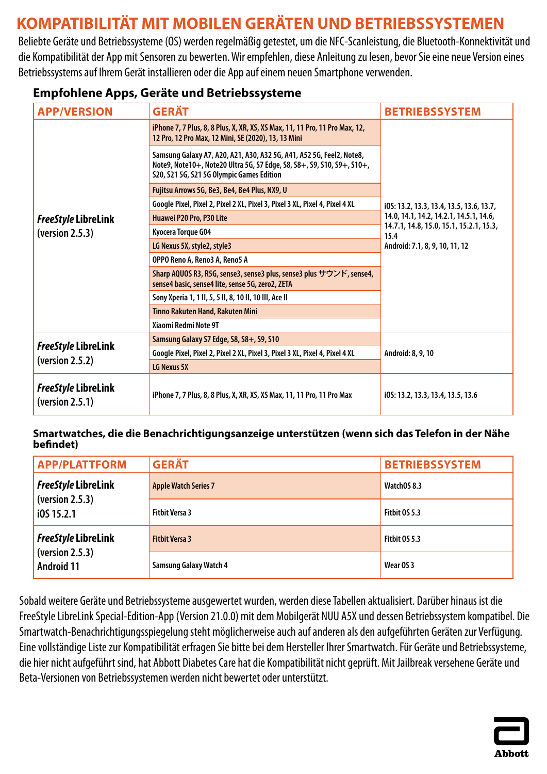# <span id="page-5-0"></span>**KOMPATIBILITÄT MIT MOBILEN GERÄTEN UND BETRIEBSSYSTEMEN**

Beliebte Geräte und Betriebssysteme (OS) werden regelmäßig getestet, um die NFC-Scanleistung, die Bluetooth-Konnektivität und die Kompatibilität der App mit Sensoren zu bewerten. Wir empfehlen, diese Anleitung zu lesen, bevor Sie eine neue Version eines Betriebssystems auf Ihrem Gerät installieren oder die App auf einem neuen Smartphone verwenden.

### **Empfohlene Apps, Geräte und Betriebssysteme**

| <b>APP/VERSION</b>                            | <b>GERÄT</b>                                                                                                                                                                                | <b>BETRIEBSSYSTEM</b>                                                             |
|-----------------------------------------------|---------------------------------------------------------------------------------------------------------------------------------------------------------------------------------------------|-----------------------------------------------------------------------------------|
|                                               | iPhone 7, 7 Plus, 8, 8 Plus, X, XR, XS, XS Max, 11, 11 Pro, 11 Pro Max, 12,<br>12 Pro, 12 Pro Max, 12 Mini, SE (2020), 13, 13 Mini                                                          |                                                                                   |
|                                               | Samsung Galaxy A7, A20, A21, A30, A32 5G, A41, A52 5G, Feel2, Note8,<br>Note9, Note10+, Note20 Ultra 5G, S7 Edge, S8, S8+, S9, S10, S9+, S10+,<br>S20, S21 5G, S21 5G Olympic Games Edition |                                                                                   |
|                                               | Fujitsu Arrows 5G, Be3, Be4, Be4 Plus, NX9, U                                                                                                                                               |                                                                                   |
|                                               | Google Pixel, Pixel 2, Pixel 2 XL, Pixel 3, Pixel 3 XL, Pixel 4, Pixel 4 XL                                                                                                                 | i0S: 13.2, 13.3, 13.4, 13.5, 13.6, 13.7,                                          |
| <b>FreeStyle LibreLink</b>                    | Huawei P20 Pro, P30 Lite                                                                                                                                                                    | 14.0, 14.1, 14.2, 14.2.1, 14.5.1, 14.6,                                           |
| (yersion 2.5.3)                               | Kyocera Torque G04                                                                                                                                                                          | 14.7.1, 14.8, 15.0, 15.1, 15.2.1, 15.3,<br>15.4<br>Android: 7.1, 8, 9, 10, 11, 12 |
|                                               | LG Nexus 5X, style2, style3                                                                                                                                                                 |                                                                                   |
|                                               | OPPO Reno A, Reno3 A, Reno5 A                                                                                                                                                               |                                                                                   |
|                                               | Sharp AQUOS R3, R5G, sense3, sense3 plus, sense3 plus サウンド, sense4,<br>sense4 basic, sense4 lite, sense 5G, zero2, ZETA                                                                     |                                                                                   |
|                                               | Sony Xperia 1, 1 II, 5, 5 II, 8, 10 II, 10 III, Ace II                                                                                                                                      |                                                                                   |
|                                               | Tinno Rakuten Hand, Rakuten Mini                                                                                                                                                            |                                                                                   |
|                                               | Xiaomi Redmi Note 9T                                                                                                                                                                        |                                                                                   |
| <b>FreeStyle LibreLink</b>                    | Samsung Galaxy S7 Edge, S8, S8+, S9, S10                                                                                                                                                    |                                                                                   |
| (version 2.5.2)                               | Google Pixel, Pixel 2, Pixel 2 XL, Pixel 3, Pixel 3 XL, Pixel 4, Pixel 4 XL                                                                                                                 | Android: 8, 9, 10                                                                 |
|                                               | LG Nexus 5X                                                                                                                                                                                 |                                                                                   |
| <b>FreeStyle LibreLink</b><br>(yersion 2.5.1) | iPhone 7, 7 Plus, 8, 8 Plus, X, XR, XS, XS Max, 11, 11 Pro, 11 Pro Max                                                                                                                      | i05: 13.2, 13.3, 13.4, 13.5, 13.6                                                 |

#### **Smartwatches, die die Benachrichtigungsanzeige unterstützen (wenn sich das Telefon in der Nähe befindet)**

| <b>APP/PLATTFORM</b>                 | <b>GERÄT</b>                  | <b>BETRIEBSSYSTEM</b> |
|--------------------------------------|-------------------------------|-----------------------|
| <b>FreeStyle LibreLink</b>           | <b>Apple Watch Series 7</b>   | WatchOS 8.3           |
| (yersion 2.5.3)<br>i0S 15.2.1        | <b>Fitbit Versa 3</b>         | <b>Fitbit 0S 5.3</b>  |
| <b>FreeStyle LibreLink</b>           | <b>Fitbit Versa 3</b>         | <b>Fitbit 0S 5.3</b>  |
| (yersion 2.5.3)<br><b>Android 11</b> | <b>Samsung Galaxy Watch 4</b> | Wear OS 3             |

Sobald weitere Geräte und Betriebssysteme ausgewertet wurden, werden diese Tabellen aktualisiert. Darüber hinaus ist die FreeStyle LibreLink Special-Edition-App (Version 21.0.0) mit dem Mobilgerät NUU A5X und dessen Betriebssystem kompatibel. Die Smartwatch-Benachrichtigungsspiegelung steht möglicherweise auch auf anderen als den aufgeführten Geräten zur Verfügung. Eine vollständige Liste zur Kompatibilität erfragen Sie bitte bei dem Hersteller Ihrer Smartwatch. Für Geräte und Betriebssysteme, die hier nicht aufgeführt sind, hat Abbott Diabetes Care hat die Kompatibilität nicht geprüft. Mit Jailbreak versehene Geräte und Beta-Versionen von Betriebssystemen werden nicht bewertet oder unterstützt.

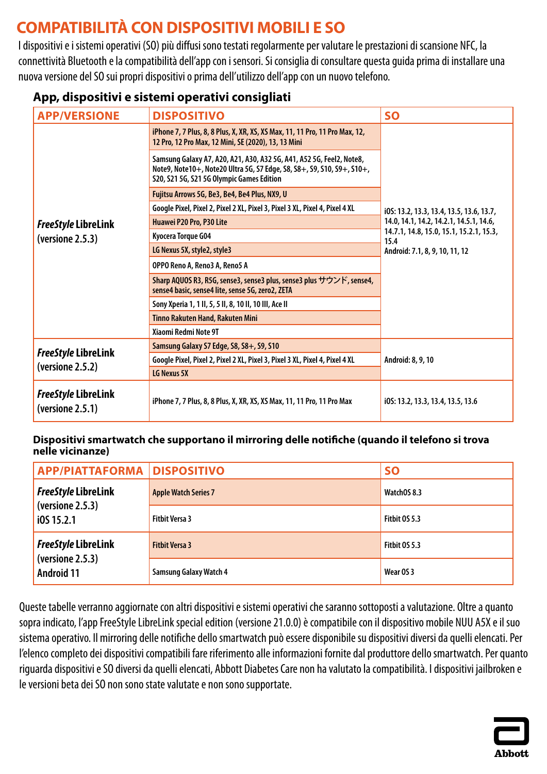# <span id="page-6-0"></span>**COMPATIBILITÀ CON DISPOSITIVI MOBILI E SO**

I dispositivi e i sistemi operativi (SO) più diffusi sono testati regolarmente per valutare le prestazioni di scansione NFC, la connettività Bluetooth e la compatibilità dell'app con i sensori. Si consiglia di consultare questa guida prima di installare una nuova versione del SO sui propri dispositivi o prima dell'utilizzo dell'app con un nuovo telefono.

## **App, dispositivi e sistemi operativi consigliati**

| <b>APP/VERSIONE</b>                            | <b>DISPOSITIVO</b>                                                                                                                                                                          | <b>SO</b>                                                                         |
|------------------------------------------------|---------------------------------------------------------------------------------------------------------------------------------------------------------------------------------------------|-----------------------------------------------------------------------------------|
|                                                | iPhone 7, 7 Plus, 8, 8 Plus, X, XR, XS, XS Max, 11, 11 Pro, 11 Pro Max, 12,<br>12 Pro, 12 Pro Max, 12 Mini, SE (2020), 13, 13 Mini                                                          |                                                                                   |
|                                                | Samsung Galaxy A7, A20, A21, A30, A32 5G, A41, A52 5G, Feel2, Note8,<br>Note9, Note10+, Note20 Ultra 5G, S7 Edge, S8, S8+, S9, S10, S9+, S10+,<br>S20, S21 5G, S21 5G Olympic Games Edition |                                                                                   |
|                                                | Fujitsu Arrows 5G, Be3, Be4, Be4 Plus, NX9, U                                                                                                                                               |                                                                                   |
|                                                | Google Pixel, Pixel 2, Pixel 2 XL, Pixel 3, Pixel 3 XL, Pixel 4, Pixel 4 XL                                                                                                                 | i0S: 13.2, 13.3, 13.4, 13.5, 13.6, 13.7,                                          |
| <b>FreeStyle LibreLink</b>                     | Huawei P20 Pro, P30 Lite                                                                                                                                                                    | 14.0, 14.1, 14.2, 14.2.1, 14.5.1, 14.6,                                           |
| (versione 2.5.3)                               | Kyocera Torque G04                                                                                                                                                                          | 14.7.1, 14.8, 15.0, 15.1, 15.2.1, 15.3,<br>15.4<br>Android: 7.1, 8, 9, 10, 11, 12 |
|                                                | LG Nexus 5X, style2, style3                                                                                                                                                                 |                                                                                   |
|                                                | OPPO Reno A, Reno3 A, Reno5 A                                                                                                                                                               |                                                                                   |
|                                                | Sharp AQUOS R3, R5G, sense3, sense3 plus, sense3 plus サウンド, sense4,<br>sense4 basic, sense4 lite, sense 5G, zero2, ZETA                                                                     |                                                                                   |
|                                                | Sony Xperia 1, 1 II, 5, 5 II, 8, 10 II, 10 III, Ace II                                                                                                                                      |                                                                                   |
|                                                | <b>Tinno Rakuten Hand, Rakuten Mini</b>                                                                                                                                                     |                                                                                   |
|                                                | Xiaomi Redmi Note 9T                                                                                                                                                                        |                                                                                   |
| FreeStyle LibreLink<br>(versione 2.5.2)        | Samsung Galaxy S7 Edge, S8, S8+, S9, S10                                                                                                                                                    |                                                                                   |
|                                                | Google Pixel, Pixel 2, Pixel 2 XL, Pixel 3, Pixel 3 XL, Pixel 4, Pixel 4 XL                                                                                                                 | Android: 8, 9, 10                                                                 |
|                                                | LG Nexus 5X                                                                                                                                                                                 |                                                                                   |
| <b>FreeStyle LibreLink</b><br>(versione 2.5.1) | iPhone 7, 7 Plus, 8, 8 Plus, X, XR, XS, XS Max, 11, 11 Pro, 11 Pro Max                                                                                                                      | i05: 13.2, 13.3, 13.4, 13.5, 13.6                                                 |

#### **Dispositivi smartwatch che supportano il mirroring delle notifiche (quando il telefono si trova nelle vicinanze)**

| <b>APP/PIATTAFORMA   DISPOSITIVO</b>  |                               | <b>SO</b>            |
|---------------------------------------|-------------------------------|----------------------|
| <b>FreeStyle LibreLink</b>            | <b>Apple Watch Series 7</b>   | WatchOS 8.3          |
| (versione 2.5.3)<br>i0S 15.2.1        | <b>Fitbit Versa 3</b>         | <b>Fitbit 0S 5.3</b> |
| <b>FreeStyle LibreLink</b>            | <b>Fitbit Versa 3</b>         | Fitbit OS 5.3        |
| (versione 2.5.3)<br><b>Android 11</b> | <b>Samsung Galaxy Watch 4</b> | Wear OS 3            |

Queste tabelle verranno aggiornate con altri dispositivi e sistemi operativi che saranno sottoposti a valutazione. Oltre a quanto sopra indicato, l'app FreeStyle LibreLink special edition (versione 21.0.0) è compatibile con il dispositivo mobile NUU A5X e il suo sistema operativo. Il mirroring delle notifiche dello smartwatch può essere disponibile su dispositivi diversi da quelli elencati. Per l'elenco completo dei dispositivi compatibili fare riferimento alle informazioni fornite dal produttore dello smartwatch. Per quanto riguarda dispositivi e SO diversi da quelli elencati, Abbott Diabetes Care non ha valutato la compatibilità. I dispositivi jailbroken e le versioni beta dei SO non sono state valutate e non sono supportate.

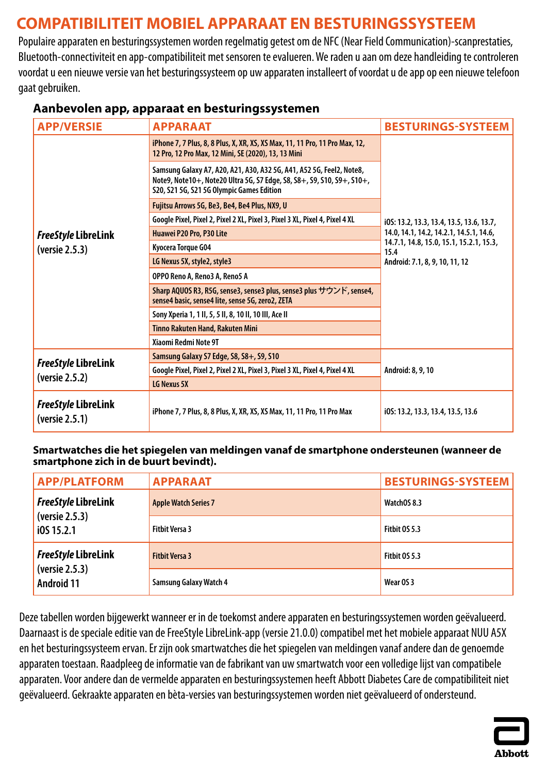# <span id="page-7-0"></span>**COMPATIBILITEIT MOBIEL APPARAAT EN BESTURINGSSYSTEEM**

Populaire apparaten en besturingssystemen worden regelmatig getest om de NFC (Near Field Communication)-scanprestaties, Bluetooth-connectiviteit en app-compatibiliteit met sensoren te evalueren. We raden u aan om deze handleiding te controleren voordat u een nieuwe versie van het besturingssysteem op uw apparaten installeert of voordat u de app op een nieuwe telefoon gaat gebruiken.

| <b>APP/VERSIE</b>                            | <b>APPARAAT</b>                                                                                                                                                                             | <b>BESTURINGS-SYSTEEM</b>                                                         |
|----------------------------------------------|---------------------------------------------------------------------------------------------------------------------------------------------------------------------------------------------|-----------------------------------------------------------------------------------|
|                                              | iPhone 7, 7 Plus, 8, 8 Plus, X, XR, XS, XS Max, 11, 11 Pro, 11 Pro Max, 12,<br>12 Pro, 12 Pro Max, 12 Mini, SE (2020), 13, 13 Mini                                                          |                                                                                   |
|                                              | Samsung Galaxy A7, A20, A21, A30, A32 5G, A41, A52 5G, Feel2, Note8,<br>Note9, Note10+, Note20 Ultra 5G, S7 Edge, S8, S8+, S9, S10, S9+, S10+,<br>S20, S21 5G, S21 5G Olympic Games Edition |                                                                                   |
|                                              | Fujitsu Arrows 5G, Be3, Be4, Be4 Plus, NX9, U                                                                                                                                               |                                                                                   |
|                                              | Google Pixel, Pixel 2, Pixel 2 XL, Pixel 3, Pixel 3 XL, Pixel 4, Pixel 4 XL                                                                                                                 | i0S: 13.2, 13.3, 13.4, 13.5, 13.6, 13.7,                                          |
| <b>FreeStyle LibreLink</b>                   | Huawei P20 Pro, P30 Lite                                                                                                                                                                    | 14.0, 14.1, 14.2, 14.2.1, 14.5.1, 14.6,                                           |
| (versie 2.5.3)                               | Kyocera Torque G04                                                                                                                                                                          | 14.7.1, 14.8, 15.0, 15.1, 15.2.1, 15.3,<br>15.4<br>Android: 7.1, 8, 9, 10, 11, 12 |
|                                              | LG Nexus 5X, style2, style3                                                                                                                                                                 |                                                                                   |
|                                              | OPPO Reno A, Reno3 A, Reno5 A                                                                                                                                                               |                                                                                   |
|                                              | Sharp AQUOS R3, R5G, sense3, sense3 plus, sense3 plus サウンド, sense4,<br>sense4 basic, sense4 lite, sense 5G, zero2, ZETA                                                                     |                                                                                   |
|                                              | Sony Xperia 1, 1 II, 5, 5 II, 8, 10 II, 10 III, Ace II                                                                                                                                      |                                                                                   |
|                                              | Tinno Rakuten Hand, Rakuten Mini                                                                                                                                                            |                                                                                   |
|                                              | Xiaomi Redmi Note 9T                                                                                                                                                                        |                                                                                   |
| <b>FreeStyle LibreLink</b>                   | Samsung Galaxy S7 Edge, S8, S8+, S9, S10                                                                                                                                                    |                                                                                   |
| (versie 2.5.2)                               | Google Pixel, Pixel 2, Pixel 2 XL, Pixel 3, Pixel 3 XL, Pixel 4, Pixel 4 XL                                                                                                                 | Android: 8, 9, 10                                                                 |
|                                              | LG Nexus 5X                                                                                                                                                                                 |                                                                                   |
| <b>FreeStyle LibreLink</b><br>(versie 2.5.1) | iPhone 7, 7 Plus, 8, 8 Plus, X, XR, XS, XS Max, 11, 11 Pro, 11 Pro Max                                                                                                                      | i0S: 13.2, 13.3, 13.4, 13.5, 13.6                                                 |

## **Aanbevolen app, apparaat en besturingssystemen**

#### **Smartwatches die het spiegelen van meldingen vanaf de smartphone ondersteunen (wanneer de smartphone zich in de buurt bevindt).**

| <b>APP/PLATFORM</b>                 | <b>APPARAAT</b>               | <b>BESTURINGS-SYSTEEM</b> |
|-------------------------------------|-------------------------------|---------------------------|
| <b>FreeStyle LibreLink</b>          | <b>Apple Watch Series 7</b>   | WatchOS 8.3               |
| (versie 2.5.3)<br>$i$ 0S 15.2.1     | <b>Fitbit Versa 3</b>         | <b>Fitbit 0S 5.3</b>      |
| <b>FreeStyle LibreLink</b>          | <b>Fitbit Versa 3</b>         | <b>Fitbit 0S 5.3</b>      |
| (versie 2.5.3)<br><b>Android 11</b> | <b>Samsung Galaxy Watch 4</b> | Wear OS 3                 |

Deze tabellen worden bijgewerkt wanneer er in de toekomst andere apparaten en besturingssystemen worden geëvalueerd. Daarnaast is de speciale editie van de FreeStyle LibreLink-app (versie 21.0.0) compatibel met het mobiele apparaat NUU A5X en het besturingssysteem ervan. Er zijn ook smartwatches die het spiegelen van meldingen vanaf andere dan de genoemde apparaten toestaan. Raadpleeg de informatie van de fabrikant van uw smartwatch voor een volledige lijst van compatibele apparaten. Voor andere dan de vermelde apparaten en besturingssystemen heeft Abbott Diabetes Care de compatibiliteit niet geëvalueerd. Gekraakte apparaten en bèta-versies van besturingssystemen worden niet geëvalueerd of ondersteund.

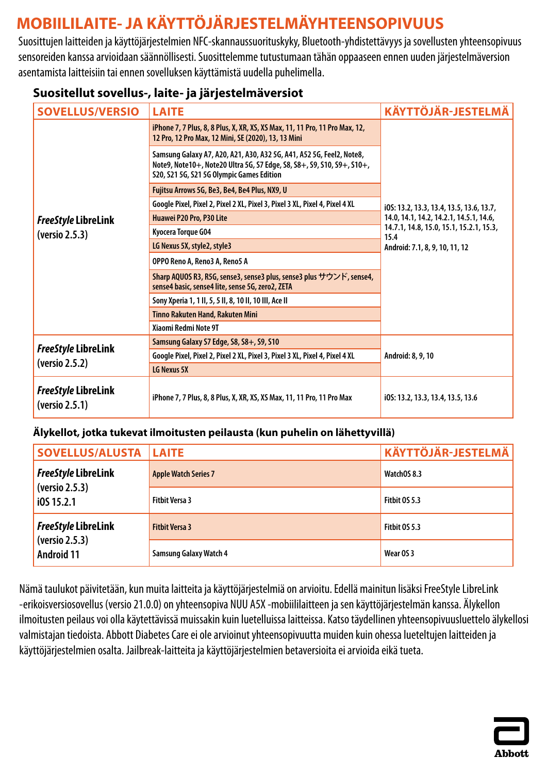# <span id="page-8-0"></span>**MOBIILILAITE- JA KÄYTTÖJÄRJESTELMÄYHTEENSOPIVUUS**

Suosittujen laitteiden ja käyttöjärjestelmien NFC-skannaussuorituskyky, Bluetooth-yhdistettävyys ja sovellusten yhteensopivuus sensoreiden kanssa arvioidaan säännöllisesti. Suosittelemme tutustumaan tähän oppaaseen ennen uuden järjestelmäversion asentamista laitteisiin tai ennen sovelluksen käyttämistä uudella puhelimella.

## **Suositellut sovellus-, laite- ja järjestelmäversiot**

| <b>SOVELLUS/VERSIO</b>                       | <b>LAITE</b>                                                                                                                                                                                | <b>KÄYTTÖJÄR-JESTELMÄ</b>                                                         |
|----------------------------------------------|---------------------------------------------------------------------------------------------------------------------------------------------------------------------------------------------|-----------------------------------------------------------------------------------|
|                                              | iPhone 7, 7 Plus, 8, 8 Plus, X, XR, XS, XS Max, 11, 11 Pro, 11 Pro Max, 12,<br>12 Pro, 12 Pro Max, 12 Mini, SE (2020), 13, 13 Mini                                                          |                                                                                   |
|                                              | Samsung Galaxy A7, A20, A21, A30, A32 5G, A41, A52 5G, Feel2, Note8,<br>Note9, Note10+, Note20 Ultra 5G, S7 Edge, S8, S8+, S9, S10, S9+, S10+,<br>S20, S21 5G, S21 5G Olympic Games Edition |                                                                                   |
|                                              | Fujitsu Arrows 5G, Be3, Be4, Be4 Plus, NX9, U                                                                                                                                               |                                                                                   |
|                                              | Google Pixel, Pixel 2, Pixel 2 XL, Pixel 3, Pixel 3 XL, Pixel 4, Pixel 4 XL                                                                                                                 | i0S: 13.2, 13.3, 13.4, 13.5, 13.6, 13.7,                                          |
| <b>FreeStyle LibreLink</b>                   | Huawei P20 Pro, P30 Lite                                                                                                                                                                    | 14.0, 14.1, 14.2, 14.2.1, 14.5.1, 14.6,                                           |
| (versio 2.5.3)                               | Kyocera Torque G04                                                                                                                                                                          | 14.7.1, 14.8, 15.0, 15.1, 15.2.1, 15.3,<br>15.4<br>Android: 7.1, 8, 9, 10, 11, 12 |
|                                              | LG Nexus 5X, style2, style3                                                                                                                                                                 |                                                                                   |
|                                              | OPPO Reno A, Reno3 A, Reno5 A                                                                                                                                                               |                                                                                   |
|                                              | Sharp AQUOS R3, R5G, sense3, sense3 plus, sense3 plus サウンド, sense4,<br>sense4 basic, sense4 lite, sense 5G, zero2, ZETA                                                                     |                                                                                   |
|                                              | Sony Xperia 1, 1 II, 5, 5 II, 8, 10 II, 10 III, Ace II                                                                                                                                      |                                                                                   |
|                                              | Tinno Rakuten Hand, Rakuten Mini                                                                                                                                                            |                                                                                   |
|                                              | Xiaomi Redmi Note 9T                                                                                                                                                                        |                                                                                   |
| <b>FreeStyle LibreLink</b>                   | Samsung Galaxy S7 Edge, S8, S8+, S9, S10                                                                                                                                                    | Android: 8, 9, 10                                                                 |
| (versio 2.5.2)                               | Google Pixel, Pixel 2, Pixel 2 XL, Pixel 3, Pixel 3 XL, Pixel 4, Pixel 4 XL                                                                                                                 |                                                                                   |
|                                              | LG Nexus 5X                                                                                                                                                                                 |                                                                                   |
| <b>FreeStyle LibreLink</b><br>(versio 2.5.1) | iPhone 7, 7 Plus, 8, 8 Plus, X, XR, XS, XS Max, 11, 11 Pro, 11 Pro Max                                                                                                                      | i0S: 13.2, 13.3, 13.4, 13.5, 13.6                                                 |

### **Älykellot, jotka tukevat ilmoitusten peilausta (kun puhelin on lähettyvillä)**

| <b>SOVELLUS/ALUSTA   LAITE</b>      |                               | KÄYTTÖJÄR-JESTELMÄ |
|-------------------------------------|-------------------------------|--------------------|
| <b>FreeStyle LibreLink</b>          | <b>Apple Watch Series 7</b>   | WatchOS 8.3        |
| (versio 2.5.3)<br>i0S 15.2.1        | <b>Fitbit Versa 3</b>         | Fitbit OS 5.3      |
| <b>FreeStyle LibreLink</b>          | <b>Fitbit Versa 3</b>         | Fitbit OS 5.3      |
| (versio 2.5.3)<br><b>Android 11</b> | <b>Samsung Galaxy Watch 4</b> | Wear OS 3          |

Nämä taulukot päivitetään, kun muita laitteita ja käyttöjärjestelmiä on arvioitu. Edellä mainitun lisäksi FreeStyle LibreLink -erikoisversiosovellus (versio 21.0.0) on yhteensopiva NUU A5X -mobiililaitteen ja sen käyttöjärjestelmän kanssa. Älykellon ilmoitusten peilaus voi olla käytettävissä muissakin kuin luetelluissa laitteissa. Katso täydellinen yhteensopivuusluettelo älykellosi valmistajan tiedoista. Abbott Diabetes Care ei olearvioinut yhteensopivuutta muiden kuin ohessa lueteltujen laitteiden ja käyttöjärjestelmien osalta. Jailbreak-laitteita ja käyttöjärjestelmien betaversioita ei arvioida eikä tueta.

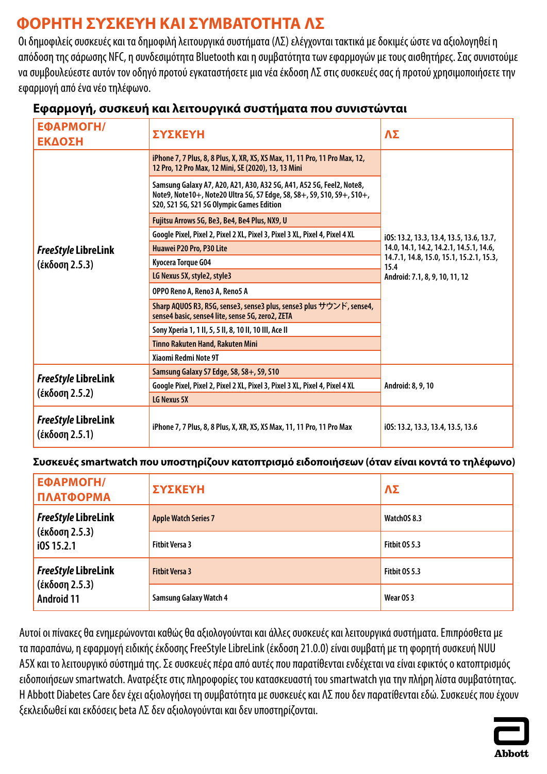# <span id="page-9-0"></span>**ΦΟΡΗΤΗ ΣΥΣΚΕΥΗ ΚΑΙ ΣΥΜΒΑΤΟΤΗΤΑ ΛΣ**

Οι δημοφιλείς συσκευές και τα δημοφιλή λειτουργικά συστήματα (ΛΣ) ελέγχονται τακτικά με δοκιμές ώστε να αξιολογηθεί η απόδοση της σάρωσης NFC, η συνδεσιμότητα Bluetooth και η συμβατότητα των εφαρμογών με τους αισθητήρες. Σας συνιστούμε να συμβουλεύεστε αυτόν τον οδηγό προτού εγκαταστήσετε μια νέα έκδοση ΛΣ στις συσκευές σας ή προτού χρησιμοποιήσετε την εφαρμογή από ένα νέο τηλέφωνο.

| ΕΦΑΡΜΟΓΗ/<br>ΕΚΔΟΣΗ                          | <b>ΣΥΣΚΕΥΗ</b>                                                                                                                                                                              | ΛΣ                                                                                                                           |
|----------------------------------------------|---------------------------------------------------------------------------------------------------------------------------------------------------------------------------------------------|------------------------------------------------------------------------------------------------------------------------------|
|                                              | iPhone 7, 7 Plus, 8, 8 Plus, X, XR, XS, XS Max, 11, 11 Pro, 11 Pro Max, 12,<br>12 Pro, 12 Pro Max, 12 Mini, SE (2020), 13, 13 Mini                                                          |                                                                                                                              |
|                                              | Samsung Galaxy A7, A20, A21, A30, A32 5G, A41, A52 5G, Feel2, Note8,<br>Note9, Note10+, Note20 Ultra 5G, S7 Edge, S8, S8+, S9, S10, S9+, S10+,<br>S20, S21 5G, S21 5G Olympic Games Edition |                                                                                                                              |
|                                              | Fujitsu Arrows 5G, Be3, Be4, Be4 Plus, NX9, U                                                                                                                                               |                                                                                                                              |
|                                              | Google Pixel, Pixel 2, Pixel 2 XL, Pixel 3, Pixel 3 XL, Pixel 4, Pixel 4 XL                                                                                                                 | i0S: 13.2, 13.3, 13.4, 13.5, 13.6, 13.7,                                                                                     |
| <b>FreeStyle LibreLink</b>                   | Huawei P20 Pro, P30 Lite                                                                                                                                                                    | 14.0, 14.1, 14.2, 14.2.1, 14.5.1, 14.6,<br>14.7.1, 14.8, 15.0, 15.1, 15.2.1, 15.3,<br>15.4<br>Android: 7.1, 8, 9, 10, 11, 12 |
| (έκδοση 2.5.3)                               | Kyocera Torque G04                                                                                                                                                                          |                                                                                                                              |
|                                              | LG Nexus 5X, style2, style3                                                                                                                                                                 |                                                                                                                              |
|                                              | OPPO Reno A, Reno3 A, Reno5 A                                                                                                                                                               |                                                                                                                              |
|                                              | Sharp AQUOS R3, R5G, sense3, sense3 plus, sense3 plus サウンド, sense4,<br>sense4 basic, sense4 lite, sense 5G, zero2, ZETA                                                                     |                                                                                                                              |
|                                              | Sony Xperia 1, 1 II, 5, 5 II, 8, 10 II, 10 III, Ace II                                                                                                                                      |                                                                                                                              |
|                                              | Tinno Rakuten Hand, Rakuten Mini                                                                                                                                                            |                                                                                                                              |
|                                              | Xiaomi Redmi Note 9T                                                                                                                                                                        |                                                                                                                              |
| <b>FreeStyle LibreLink</b>                   | Samsung Galaxy S7 Edge, S8, S8+, S9, S10                                                                                                                                                    |                                                                                                                              |
| <u>(έκδοση 2.5.2)</u>                        | Google Pixel, Pixel 2, Pixel 2 XL, Pixel 3, Pixel 3 XL, Pixel 4, Pixel 4 XL                                                                                                                 | Android: 8, 9, 10                                                                                                            |
|                                              | LG Nexus 5X                                                                                                                                                                                 |                                                                                                                              |
| <b>FreeStyle LibreLink</b><br>(έκδοση 2.5.1) | iPhone 7, 7 Plus, 8, 8 Plus, X, XR, XS, XS Max, 11, 11 Pro, 11 Pro Max                                                                                                                      | i0S: 13.2, 13.3, 13.4, 13.5, 13.6                                                                                            |

## **Εφαρμογή, συσκευή και λειτουργικά συστήματα που συνιστώνται**

### **Συσκευές smartwatch που υποστηρίζουν κατοπτρισμό ειδοποιήσεων (όταν είναι κοντά το τηλέφωνο)**

| ЕФАРМОГН/<br>ΠΛΑΤΦΟΡΜΑ              | ΣΥΣΚΕΥΗ                       | $\Lambda\Sigma$ |
|-------------------------------------|-------------------------------|-----------------|
| <b>FreeStyle LibreLink</b>          | <b>Apple Watch Series 7</b>   | WatchOS 8.3     |
| (έκδοση 2.5.3)<br>i0S 15.2.1        | <b>Fitbit Versa 3</b>         | Fitbit OS 5.3   |
| <b>FreeStyle LibreLink</b>          | <b>Fithit Versa 3</b>         | Fitbit 0S 5.3   |
| (έκδοση 2.5.3)<br><b>Android 11</b> | <b>Samsung Galaxy Watch 4</b> | Wear OS 3       |

Αυτοί οι πίνακες θα ενημερώνονται καθώς θα αξιολογούνται και άλλες συσκευές και λειτουργικά συστήματα. Επιπρόσθετα με τα παραπάνω, η εφαρμογή ειδικής έκδοσης FreeStyle LibreLink (έκδοση 21.0.0) είναι συμβατή με τη φορητή συσκευή NUU A5X και το λειτουργικό σύστημά της. Σε συσκευές πέρα από αυτές που παρατίθενται ενδέχεται να είναι εφικτός ο κατοπτρισμός ειδοποιήσεων smartwatch. Ανατρέξτε στις πληροφορίες του κατασκευαστή του smartwatch για την πλήρη λίστα συμβατότητας. Η Abbott Diabetes Care δεν έχει αξιολογήσει τη συμβατότητα με συσκευές και ΛΣ που δεν παρατίθενται εδώ. Συσκευές που έχουν ξεκλειδωθεί και εκδόσεις beta ΛΣ δεν αξιολογούνται και δεν υποστηρίζονται.

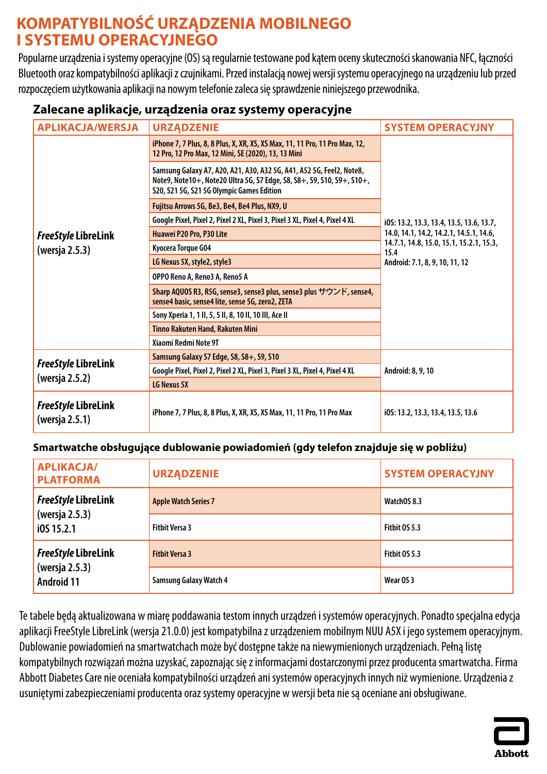## <span id="page-10-0"></span>**KOMPATYBILNOŚĆ URZĄDZENIA MOBILNEGO I SYSTEMU OPERACYJNEGO**

Popularne urządzenia i systemy operacyjne (OS) są regularnie testowane pod kątem oceny skuteczności skanowania NFC, łączności Bluetooth oraz kompatybilności aplikacji z czujnikami. Przed instalacją nowej wersji systemu operacyjnego na urządzeniu lub przed rozpoczęciem użytkowania aplikacji na nowym telefonie zaleca się sprawdzenie niniejszego przewodnika.

## **Zalecane aplikacje, urządzenia oraz systemy operacyjne**

| <b>APLIKACJA/WERSJA</b>                      | <b>URZĄDZENIE</b>                                                                                                                                                                           | <b>SYSTEM OPERACYJNY</b>                                                          |
|----------------------------------------------|---------------------------------------------------------------------------------------------------------------------------------------------------------------------------------------------|-----------------------------------------------------------------------------------|
|                                              | iPhone 7, 7 Plus, 8, 8 Plus, X, XR, XS, XS Max, 11, 11 Pro, 11 Pro Max, 12,<br>12 Pro, 12 Pro Max, 12 Mini, SE (2020), 13, 13 Mini                                                          |                                                                                   |
|                                              | Samsung Galaxy A7, A20, A21, A30, A32 5G, A41, A52 5G, Feel2, Note8,<br>Note9, Note10+, Note20 Ultra 5G, S7 Edge, S8, S8+, S9, S10, S9+, S10+,<br>S20, S21 5G, S21 5G Olympic Games Edition |                                                                                   |
|                                              | Fujitsu Arrows 5G, Be3, Be4, Be4 Plus, NX9, U                                                                                                                                               |                                                                                   |
|                                              | Google Pixel, Pixel 2, Pixel 2 XL, Pixel 3, Pixel 3 XL, Pixel 4, Pixel 4 XL                                                                                                                 | i0S: 13.2, 13.3, 13.4, 13.5, 13.6, 13.7,                                          |
| <b>FreeStyle LibreLink</b>                   | Huawei P20 Pro, P30 Lite                                                                                                                                                                    | 14.0, 14.1, 14.2, 14.2.1, 14.5.1, 14.6,                                           |
| (wersja 2.5.3)                               | Kyocera Torque G04                                                                                                                                                                          | 14.7.1, 14.8, 15.0, 15.1, 15.2.1, 15.3,<br>15.4<br>Android: 7.1, 8, 9, 10, 11, 12 |
|                                              | LG Nexus 5X, style2, style3                                                                                                                                                                 |                                                                                   |
|                                              | OPPO Reno A, Reno3 A, Reno5 A                                                                                                                                                               |                                                                                   |
|                                              | Sharp AQUOS R3, R5G, sense3, sense3 plus, sense3 plus サウンド, sense4,<br>sense4 basic, sense4 lite, sense 5G, zero2, ZETA                                                                     |                                                                                   |
|                                              | Sony Xperia 1, 1 II, 5, 5 II, 8, 10 II, 10 III, Ace II                                                                                                                                      |                                                                                   |
|                                              | <b>Tinno Rakuten Hand, Rakuten Mini</b>                                                                                                                                                     |                                                                                   |
|                                              | Xiaomi Redmi Note 9T                                                                                                                                                                        |                                                                                   |
|                                              | Samsung Galaxy S7 Edge, S8, S8+, S9, S10                                                                                                                                                    |                                                                                   |
| <b>FreeStyle LibreLink</b><br>(wersja 2.5.2) | Google Pixel, Pixel 2, Pixel 2 XL, Pixel 3, Pixel 3 XL, Pixel 4, Pixel 4 XL                                                                                                                 | Android: 8, 9, 10                                                                 |
|                                              | LG Nexus 5X                                                                                                                                                                                 |                                                                                   |
| <b>FreeStyle LibreLink</b><br>(wersja 2.5.1) | iPhone 7, 7 Plus, 8, 8 Plus, X, XR, XS, XS Max, 11, 11 Pro, 11 Pro Max                                                                                                                      | i0S: 13.2, 13.3, 13.4, 13.5, 13.6                                                 |

### **Smartwatche obsługujące dublowanie powiadomień (gdy telefon znajduje się w pobliżu)**

| <b>APLIKACJA/</b><br><b>PLATFORMA</b> | <b>URZĄDZENIE</b>             | <b>SYSTEM OPERACYJNY</b> |
|---------------------------------------|-------------------------------|--------------------------|
| <b>FreeStyle LibreLink</b>            | <b>Apple Watch Series 7</b>   | WatchOS 8.3              |
| (wersja 2.5.3)<br>i0S 15.2.1          | <b>Fithit Versa 3</b>         | Fitbit OS 5.3            |
| <b>FreeStyle LibreLink</b>            | <b>Fithit Versa 3</b>         | Fitbit OS 5.3            |
| (wersja 2.5.3)<br><b>Android 11</b>   | <b>Samsung Galaxy Watch 4</b> | Wear OS 3                |

Te tabele będą aktualizowana w miarę poddawania testom innych urządzeń i systemów operacyjnych. Ponadto specjalna edycja aplikacji FreeStyle LibreLink (wersja 21.0.0) jest kompatybilna z urządzeniem mobilnym NUU A5X i jego systemem operacyjnym. Dublowanie powiadomień na smartwatchach może być dostępne także na niewymienionych urządzeniach. Pełną listę kompatybilnych rozwiązań można uzyskać, zapoznając się z informacjami dostarczonymi przez producenta smartwatcha. Firma Abbott Diabetes Care nie oceniała kompatybilności urządzeń ani systemów operacyjnych innych niż wymienione. Urządzenia z usuniętymi zabezpieczeniami producenta oraz systemy operacyjne w wersji beta niesą oceniane ani obsługiwane.

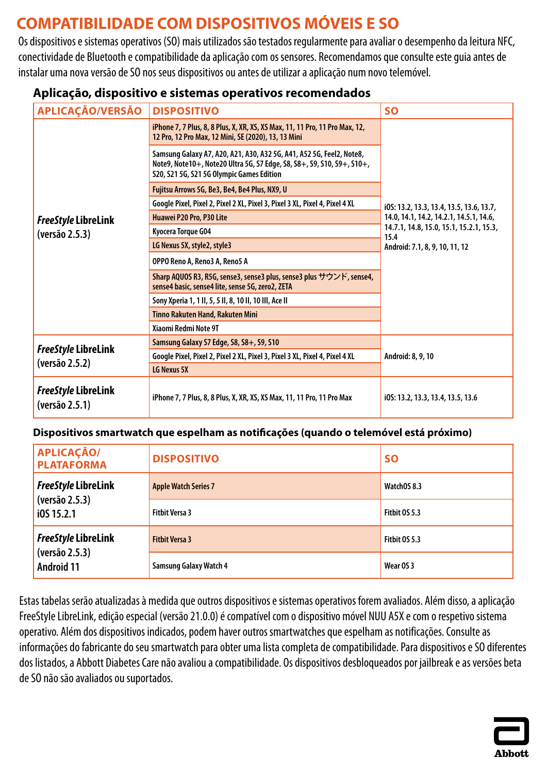# <span id="page-11-0"></span>**COMPATIBILIDADE COM DISPOSITIVOS MÓVEIS E SO**

Os dispositivos e sistemas operativos (SO) mais utilizados são testados regularmente para avaliar o desempenho da leitura NFC, conectividade de Bluetooth e compatibilidade da aplicação com os sensores. Recomendamos que consulte este guia antes de instalar uma nova versão de SO nos seus dispositivos ou antes de utilizar a aplicação num novo telemóvel.

| <b>APLICAÇÃO/VERSÃO</b>                      | <b>DISPOSITIVO</b>                                                                                                                                                                          | <b>SO</b>                                                                         |
|----------------------------------------------|---------------------------------------------------------------------------------------------------------------------------------------------------------------------------------------------|-----------------------------------------------------------------------------------|
|                                              | iPhone 7, 7 Plus, 8, 8 Plus, X, XR, XS, XS Max, 11, 11 Pro, 11 Pro Max, 12,<br>12 Pro, 12 Pro Max, 12 Mini, SE (2020), 13, 13 Mini                                                          |                                                                                   |
|                                              | Samsung Galaxy A7, A20, A21, A30, A32 5G, A41, A52 5G, Feel2, Note8,<br>Note9, Note10+, Note20 Ultra 5G, S7 Edge, S8, S8+, S9, S10, S9+, S10+,<br>S20, S21 5G, S21 5G Olympic Games Edition |                                                                                   |
|                                              | Fujitsu Arrows 5G, Be3, Be4, Be4 Plus, NX9, U                                                                                                                                               |                                                                                   |
|                                              | Google Pixel, Pixel 2, Pixel 2 XL, Pixel 3, Pixel 3 XL, Pixel 4, Pixel 4 XL                                                                                                                 | i0S: 13.2, 13.3, 13.4, 13.5, 13.6, 13.7,                                          |
| <b>FreeStyle LibreLink</b>                   | Huawei P20 Pro, P30 Lite                                                                                                                                                                    | 14.0, 14.1, 14.2, 14.2.1, 14.5.1, 14.6,                                           |
| (versão 2.5.3)                               | Kyocera Torque G04                                                                                                                                                                          | 14.7.1, 14.8, 15.0, 15.1, 15.2.1, 15.3,<br>15.4<br>Android: 7.1, 8, 9, 10, 11, 12 |
|                                              | LG Nexus 5X, style2, style3                                                                                                                                                                 |                                                                                   |
|                                              | OPPO Reno A, Reno3 A, Reno5 A                                                                                                                                                               |                                                                                   |
|                                              | Sharp AQUOS R3, R5G, sense3, sense3 plus, sense3 plus サウンド, sense4,<br>sense4 basic, sense4 lite, sense 5G, zero2, ZETA                                                                     |                                                                                   |
|                                              | Sony Xperia 1, 1 II, 5, 5 II, 8, 10 II, 10 III, Ace II                                                                                                                                      |                                                                                   |
|                                              | Tinno Rakuten Hand, Rakuten Mini                                                                                                                                                            |                                                                                   |
|                                              | Xiaomi Redmi Note 9T                                                                                                                                                                        |                                                                                   |
| <b>FreeStyle LibreLink</b><br>(versão 2.5.2) | Samsung Galaxy S7 Edge, S8, S8+, S9, S10                                                                                                                                                    |                                                                                   |
|                                              | Google Pixel, Pixel 2, Pixel 2 XL, Pixel 3, Pixel 3 XL, Pixel 4, Pixel 4 XL                                                                                                                 | Android: 8, 9, 10                                                                 |
|                                              | LG Nexus 5X                                                                                                                                                                                 |                                                                                   |
| <b>FreeStyle LibreLink</b><br>(versão 2.5.1) | iPhone 7, 7 Plus, 8, 8 Plus, X, XR, XS, XS Max, 11, 11 Pro, 11 Pro Max                                                                                                                      | i0S: 13.2, 13.3, 13.4, 13.5, 13.6                                                 |

### **Aplicação, dispositivo e sistemas operativos recomendados**

### **Dispositivos smartwatch que espelham as notificações (quando o telemóvel está próximo)**

| <b>APLICAÇÃO/</b><br><b>PLATAFORMA</b> | <b>DISPOSITIVO</b>            | <b>SO</b>            |
|----------------------------------------|-------------------------------|----------------------|
| <b>FreeStyle LibreLink</b>             | <b>Apple Watch Series 7</b>   | WatchOS 8.3          |
| (versão 2.5.3)<br>i0S 15.2.1           | <b>Fitbit Versa 3</b>         | <b>Fitbit 0S 5.3</b> |
| <b>FreeStyle LibreLink</b>             | <b>Fitbit Versa 3</b>         | <b>Fitbit 0S 5.3</b> |
| (versão 2.5.3)<br><b>Android 11</b>    | <b>Samsung Galaxy Watch 4</b> | Wear OS 3            |

Estas tabelas serão atualizadas à medida que outros dispositivos e sistemas operativos forem avaliados. Além disso, a aplicação FreeStyle LibreLink, edição especial (versão 21.0.0) é compatível com o dispositivo móvel NUU A5X e com o respetivo sistema operativo. Além dos dispositivos indicados, podem haver outros smartwatches que espelham as notificações. Consulte as informações do fabricante do seu smartwatch para obter uma lista completa de compatibilidade. Para dispositivos e SO diferentes dos listados, a Abbott Diabetes Care não avaliou a compatibilidade. Os dispositivos desbloqueados por jailbreak e as versões beta de SO não são avaliados ou suportados.

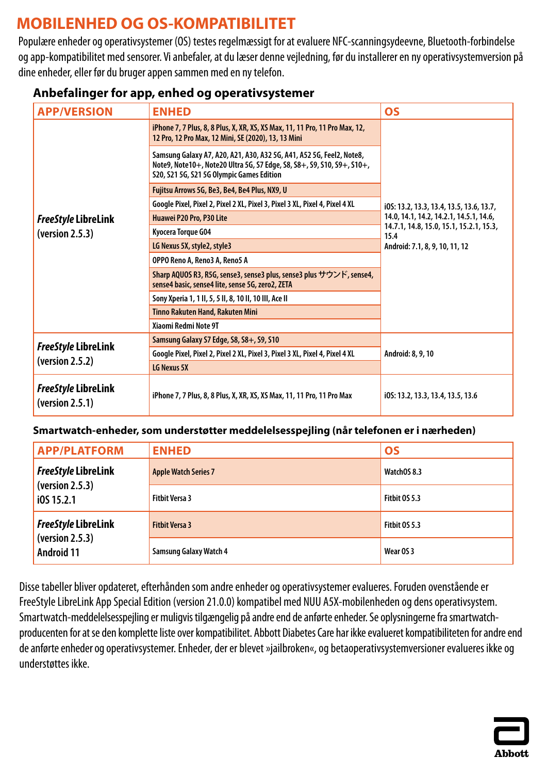# <span id="page-12-0"></span>**MOBILENHED OG OS-KOMPATIBILITET**

Populære enheder og operativsystemer (OS) testes regelmæssigt for at evaluere NFC-scanningsydeevne, Bluetooth-forbindelse og app-kompatibilitet med sensorer. Vi anbefaler, at du læser denne vejledning, før du installerer en ny operativsystemversion på dine enheder, eller før du bruger appen sammen med en ny telefon.

| <b>APP/VERSION</b>                            | <b>ENHED</b>                                                                                                                                                                                | <b>OS</b>                                                                         |
|-----------------------------------------------|---------------------------------------------------------------------------------------------------------------------------------------------------------------------------------------------|-----------------------------------------------------------------------------------|
|                                               | iPhone 7, 7 Plus, 8, 8 Plus, X, XR, XS, XS Max, 11, 11 Pro, 11 Pro Max, 12,<br>12 Pro, 12 Pro Max, 12 Mini, SE (2020), 13, 13 Mini                                                          |                                                                                   |
|                                               | Samsung Galaxy A7, A20, A21, A30, A32 5G, A41, A52 5G, Feel2, Note8,<br>Note9, Note10+, Note20 Ultra 5G, S7 Edge, S8, S8+, S9, S10, S9+, S10+,<br>S20, S21 5G, S21 5G Olympic Games Edition |                                                                                   |
|                                               | Fujitsu Arrows 5G, Be3, Be4, Be4 Plus, NX9, U                                                                                                                                               |                                                                                   |
|                                               | Google Pixel, Pixel 2, Pixel 2 XL, Pixel 3, Pixel 3 XL, Pixel 4, Pixel 4 XL                                                                                                                 | i0S: 13.2, 13.3, 13.4, 13.5, 13.6, 13.7,                                          |
| <b>FreeStyle LibreLink</b>                    | Huawei P20 Pro, P30 Lite                                                                                                                                                                    | 14.0, 14.1, 14.2, 14.2.1, 14.5.1, 14.6,                                           |
| (yersion 2.5.3)                               | Kyocera Torque G04                                                                                                                                                                          | 14.7.1, 14.8, 15.0, 15.1, 15.2.1, 15.3,<br>15.4<br>Android: 7.1, 8, 9, 10, 11, 12 |
|                                               | LG Nexus 5X, style2, style3                                                                                                                                                                 |                                                                                   |
|                                               | OPPO Reno A, Reno3 A, Reno5 A                                                                                                                                                               |                                                                                   |
|                                               | Sharp AQUOS R3, R5G, sense3, sense3 plus, sense3 plus サウンド, sense4,<br>sense4 basic, sense4 lite, sense 5G, zero2, ZETA                                                                     |                                                                                   |
|                                               | Sony Xperia 1, 1 II, 5, 5 II, 8, 10 II, 10 III, Ace II                                                                                                                                      |                                                                                   |
|                                               | Tinno Rakuten Hand, Rakuten Mini                                                                                                                                                            |                                                                                   |
|                                               | Xiaomi Redmi Note 9T                                                                                                                                                                        |                                                                                   |
| <b>FreeStyle LibreLink</b>                    | Samsung Galaxy S7 Edge, S8, S8+, S9, S10                                                                                                                                                    | Android: 8, 9, 10                                                                 |
| (version 2.5.2)                               | Google Pixel, Pixel 2, Pixel 2 XL, Pixel 3, Pixel 3 XL, Pixel 4, Pixel 4 XL                                                                                                                 |                                                                                   |
|                                               | LG Nexus 5X                                                                                                                                                                                 |                                                                                   |
| <b>FreeStyle LibreLink</b><br>(yersion 2.5.1) | iPhone 7, 7 Plus, 8, 8 Plus, X, XR, XS, XS Max, 11, 11 Pro, 11 Pro Max                                                                                                                      | i0S: 13.2, 13.3, 13.4, 13.5, 13.6                                                 |

## **Anbefalinger for app, enhed og operativsystemer**

### **Smartwatch-enheder, som understøtter meddelelsesspejling (når telefonen er i nærheden)**

| <b>APP/PLATFORM</b>                  | <b>ENHED</b>                  | <b>OS</b>            |
|--------------------------------------|-------------------------------|----------------------|
| <b>FreeStyle LibreLink</b>           | <b>Apple Watch Series 7</b>   | WatchOS 8.3          |
| (yersion 2.5.3)<br>i0S 15.2.1        | <b>Fitbit Versa 3</b>         | <b>Fitbit 0S 5.3</b> |
| <b>FreeStyle LibreLink</b>           | <b>Fitbit Versa 3</b>         | <b>Fitbit 0S 5.3</b> |
| (yersion 2.5.3)<br><b>Android 11</b> | <b>Samsung Galaxy Watch 4</b> | Wear OS 3            |

Disse tabeller bliver opdateret, efterhånden som andre enheder og operativsystemer evalueres. Foruden ovenstående er FreeStyle LibreLink App Special Edition (version 21.0.0) kompatibel med NUU A5X-mobilenheden og dens operativsystem. Smartwatch-meddelelsesspejling er muligvis tilgængelig på andre end de anførte enheder. Se oplysningerne fra smartwatchproducenten for at se den komplette liste over kompatibilitet. Abbott Diabetes Care har ikke evalueret kompatibiliteten for andre end de anførte enheder og operativsystemer. Enheder, der er blevet »jailbroken«, og betaoperativsystemversioner evalueres ikke og understøttes ikke.

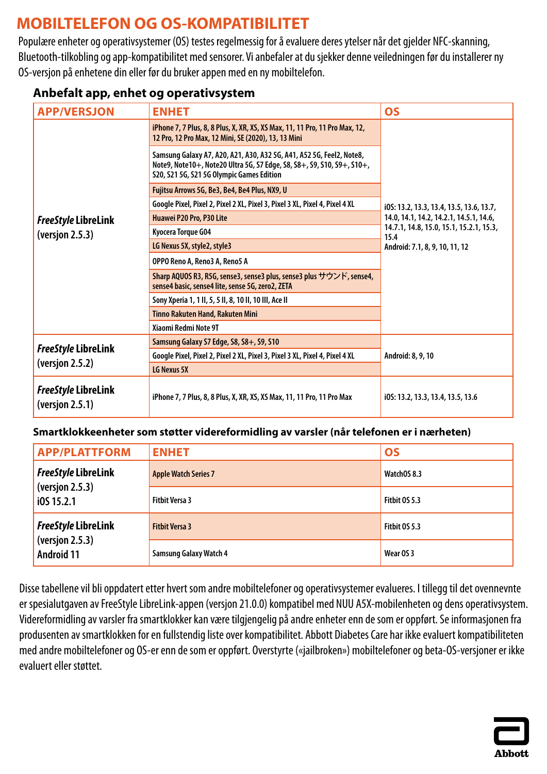# <span id="page-13-0"></span>**MOBILTELEFON OG OS-KOMPATIBILITET**

Populære enheter og operativsystemer (OS) testes regelmessig for å evaluere deres ytelser når det gjelder NFC-skanning, Bluetooth-tilkobling og app-kompatibilitet med sensorer. Vi anbefaler at du sjekker denne veiledningen før du installerer ny OS-versjon på enhetene din eller før du bruker appen med en ny mobiltelefon.

## **Anbefalt app, enhet og operativsystem**

| <b>APP/VERSJON</b>                            | <b>ENHET</b>                                                                                                                                                                                | <b>OS</b>                                                                         |
|-----------------------------------------------|---------------------------------------------------------------------------------------------------------------------------------------------------------------------------------------------|-----------------------------------------------------------------------------------|
|                                               | iPhone 7, 7 Plus, 8, 8 Plus, X, XR, XS, XS Max, 11, 11 Pro, 11 Pro Max, 12,<br>12 Pro, 12 Pro Max, 12 Mini, SE (2020), 13, 13 Mini                                                          |                                                                                   |
|                                               | Samsung Galaxy A7, A20, A21, A30, A32 5G, A41, A52 5G, Feel2, Note8,<br>Note9, Note10+, Note20 Ultra 5G, S7 Edge, S8, S8+, S9, S10, S9+, S10+,<br>S20, S21 5G, S21 5G Olympic Games Edition |                                                                                   |
|                                               | Fujitsu Arrows 5G, Be3, Be4, Be4 Plus, NX9, U                                                                                                                                               |                                                                                   |
|                                               | Google Pixel, Pixel 2, Pixel 2 XL, Pixel 3, Pixel 3 XL, Pixel 4, Pixel 4 XL                                                                                                                 | i0S: 13.2, 13.3, 13.4, 13.5, 13.6, 13.7,                                          |
| <b>FreeStyle LibreLink</b>                    | Huawei P20 Pro, P30 Lite                                                                                                                                                                    | 14.0, 14.1, 14.2, 14.2.1, 14.5.1, 14.6,                                           |
| (version 2.5.3)                               | Kyocera Torque G04                                                                                                                                                                          | 14.7.1, 14.8, 15.0, 15.1, 15.2.1, 15.3,<br>15.4<br>Android: 7.1, 8, 9, 10, 11, 12 |
|                                               | LG Nexus 5X, style2, style3                                                                                                                                                                 |                                                                                   |
|                                               | OPPO Reno A, Reno3 A, Reno5 A                                                                                                                                                               |                                                                                   |
|                                               | Sharp AQUOS R3, R5G, sense3, sense3 plus, sense3 plus サウンド, sense4,<br>sense4 basic, sense4 lite, sense 5G, zero2, ZETA                                                                     |                                                                                   |
|                                               | Sony Xperia 1, 1 II, 5, 5 II, 8, 10 II, 10 III, Ace II                                                                                                                                      |                                                                                   |
|                                               | <b>Tinno Rakuten Hand, Rakuten Mini</b>                                                                                                                                                     |                                                                                   |
|                                               | Xiaomi Redmi Note 9T                                                                                                                                                                        |                                                                                   |
| <b>FreeStyle LibreLink</b><br>(version 2.5.2) | Samsung Galaxy S7 Edge, S8, S8+, S9, S10                                                                                                                                                    |                                                                                   |
|                                               | Google Pixel, Pixel 2, Pixel 2 XL, Pixel 3, Pixel 3 XL, Pixel 4, Pixel 4 XL                                                                                                                 | Android: 8, 9, 10                                                                 |
|                                               | LG Nexus 5X                                                                                                                                                                                 |                                                                                   |
| <b>FreeStyle LibreLink</b><br>(version 2.5.1) | iPhone 7, 7 Plus, 8, 8 Plus, X, XR, XS, XS Max, 11, 11 Pro, 11 Pro Max                                                                                                                      | i0S: 13.2, 13.3, 13.4, 13.5, 13.6                                                 |

### **Smartklokkeenheter som støtter videreformidling av varsler (når telefonen er i nærheten)**

| <b>APP/PLATTFORM</b>                 | <b>ENHET</b>                  | <b>OS</b>     |
|--------------------------------------|-------------------------------|---------------|
| <b>FreeStyle LibreLink</b>           | <b>Apple Watch Series 7</b>   | WatchOS 8.3   |
| (version 2.5.3)<br>i0S 15.2.1        | <b>Fitbit Versa 3</b>         | Fitbit OS 5.3 |
| <b>FreeStyle LibreLink</b>           | <b>Fitbit Versa 3</b>         | Fitbit OS 5.3 |
| (version 2.5.3)<br><b>Android 11</b> | <b>Samsung Galaxy Watch 4</b> | Wear OS 3     |

Disse tabellene vil bli oppdatert etter hvert som andre mobiltelefoner og operativsystemer evalueres. I tillegg til det ovennevnte er spesialutgaven av FreeStyle LibreLink-appen (versjon 21.0.0) kompatibel med NUU A5X-mobilenheten og dens operativsystem. Videreformidling av varsler fra smartklokker kan være tilgjengelig på andre enheter enn de som er oppført. Se informasjonen fra produsenten av smartklokken for en fullstendig liste over kompatibilitet. Abbott Diabetes Care har ikke evaluert kompatibiliteten med andre mobiltelefoner og OS-er enn de som er oppført. Overstyrte («jailbroken») mobiltelefoner og beta-OS-versjoner er ikke evaluert eller støttet.

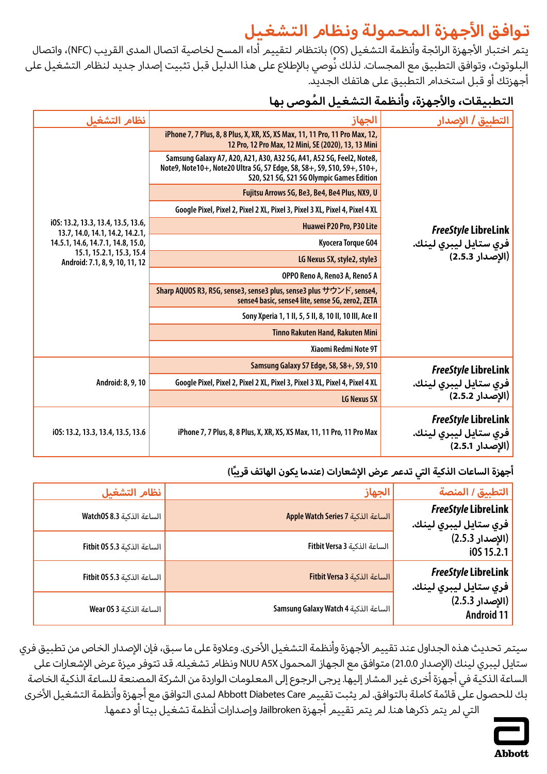# **تواف ق األجهزة الم حم ولة ونظام ال تشغيل**

<span id="page-14-0"></span>يتم اختبار الأجهزة الرائجة وأنظمة التشغيل (OS) بانتظا*م* لتقييم <sup>آ</sup>داء المسح لخاصية اتصال المدى القريب (NFC)، واتصال البلوتوث، وتوافق التطبيق مع المجسات. لذلك نُوصي بالإطلاع على هذا الدليل قبل تثبيت إصدار جديد لنظا*م* التشغيل على أجهزتك أو قبل استخدام التطبيق على هاتفك الجديد.

## **ال تطب ي ق ات، واألجهزة، وأنظم ة ال ت شغي ل ُ الموص ى بها**

| التطبيق / الاصدار                                                      | الجهاز                                                                                                                                                                                      | نظام التشغيل                                                          |
|------------------------------------------------------------------------|---------------------------------------------------------------------------------------------------------------------------------------------------------------------------------------------|-----------------------------------------------------------------------|
|                                                                        | iPhone 7, 7 Plus, 8, 8 Plus, X, XR, XS, XS Max, 11, 11 Pro, 11 Pro Max, 12,<br>12 Pro, 12 Pro Max, 12 Mini, SE (2020), 13, 13 Mini                                                          |                                                                       |
|                                                                        | Samsung Galaxy A7, A20, A21, A30, A32 5G, A41, A52 5G, Feel2, Note8,<br>Note9, Note10+, Note20 Ultra 5G, S7 Edge, S8, S8+, S9, S10, S9+, S10+,<br>S20, S21 5G, S21 5G Olympic Games Edition |                                                                       |
|                                                                        | Fujitsu Arrows 5G, Be3, Be4, Be4 Plus, NX9, U                                                                                                                                               |                                                                       |
|                                                                        | Google Pixel, Pixel 2, Pixel 2 XL, Pixel 3, Pixel 3 XL, Pixel 4, Pixel 4 XL                                                                                                                 |                                                                       |
| <b>FreeStyle LibreLink</b>                                             | Huawei P20 Pro, P30 Lite                                                                                                                                                                    | i0S: 13.2, 13.3, 13.4, 13.5, 13.6,<br>13.7, 14.0, 14.1, 14.2, 14.2.1, |
| فري ستايل ليبري لينك.                                                  | Kyocera Torque G04                                                                                                                                                                          | 14.5.1, 14.6, 14.7.1, 14.8, 15.0,                                     |
| (الإصدار 2.5.3)                                                        | LG Nexus 5X, style2, style3                                                                                                                                                                 | 15.1, 15.2.1, 15.3, 15.4<br>Android: 7.1, 8, 9, 10, 11, 12            |
|                                                                        | OPPO Reno A, Reno3 A, Reno5 A                                                                                                                                                               |                                                                       |
|                                                                        | Sharp AQUOS R3, R5G, sense3, sense3 plus, sense3 plus サウンド, sense4,<br>sense4 basic, sense4 lite, sense 5G, zero2, ZETA                                                                     |                                                                       |
|                                                                        | Sony Xperia 1, 1 II, 5, 5 II, 8, 10 II, 10 III, Ace II                                                                                                                                      |                                                                       |
|                                                                        | Tinno Rakuten Hand, Rakuten Mini                                                                                                                                                            |                                                                       |
|                                                                        | Xiaomi Redmi Note 9T                                                                                                                                                                        |                                                                       |
| <b>FreeStyle LibreLink</b>                                             | Samsung Galaxy S7 Edge, S8, S8+, S9, S10                                                                                                                                                    | Android: 8, 9, 10                                                     |
| فري ستايل ليبري لينك.                                                  | Google Pixel, Pixel 2, Pixel 2 XL, Pixel 3, Pixel 3 XL, Pixel 4, Pixel 4 XL                                                                                                                 |                                                                       |
| (الإصدار 2.5.2)                                                        | LG Nexus 5X                                                                                                                                                                                 |                                                                       |
| <b>FreeStyle LibreLink</b><br>فري ستايل ليبري لينك.<br>(الإصدار 2.5.1) | iPhone 7, 7 Plus, 8, 8 Plus, X, XR, XS, XS Max, 11, 11 Pro, 11 Pro Max                                                                                                                      | i0S: 13.2, 13.3, 13.4, 13.5, 13.6                                     |

## أجهزة الساعات الذكية التي تدعم عرض الإشعارات (عندما يكون الهاتف قريبًا)

| التطبيق / المنصة                                    | الجهاز                               | نظام التشغيل                |
|-----------------------------------------------------|--------------------------------------|-----------------------------|
| <b>FreeStyle LibreLink</b><br>فري ستايل ليبري لينك. | Apple Watch Series 7 الساعة الذكنة   | الساعة الذكنة Watch0S 8.3   |
| (الإصدار 2.5.3)<br>i0S 15.2.1                       | الساعة الذكنة Fitbit Versa 3         | الساعة الذكنة Fitbit 0S 5.3 |
| <b>FreeStyle LibreLink</b><br>فري ستايل ليبري لينك. | الساعة الذكنة Fitbit Versa 3         | الساعة الذكية Fitbit 0S 5.3 |
| (الإصدار 2.5.3)<br><b>Android 11</b>                | Samsung Galaxy Watch 4 الساعة الذكية | الساعة الذكنة Wear 0S 3     |

سيتمر تحديث هذه الجداول عند تقييم الأجهزة وأنظمة التشغيل الأخرى. وعلاوة على ما سبق، فإن الإصدار الخاص من تطبيق فري ستايل ليبري لينك (الإصدار 21.0.0) متوافق مع الجهاز المحمول NUU A5X ونظام تشغيله. قد تتوفر ميزة عرض الإشعارات على الساعة الذكية في أجهزة أخرى غير المشار إليها. يرجى الرجوع إلى المعلومات الواردة من الشركة المصنعة للساعة الذكية الخاصة بك للحصول على قائمة كاملة بالتوافق. لم يثبت تقييم Abbott Diabetes Care لمدى التوافق مع أجهزة وأنظمة التشغيل الأخرى التي لم يتم ذكرها هنا. لم يتم تقييم أجهزة Jailbroken وإصدارات أنظمة تشغيل بيتا أو دعمها.

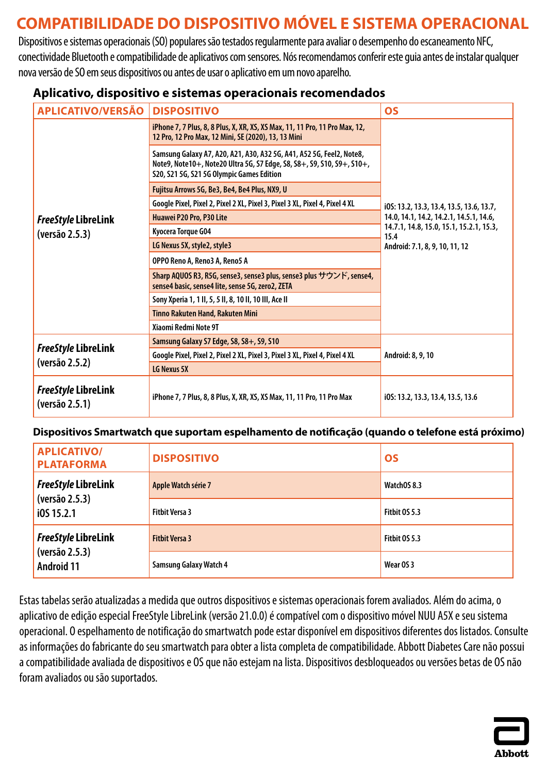# <span id="page-15-0"></span>**COMPATIBILIDADE DO DISPOSITIVO MÓVEL E SISTEMA OPERACIONAL**

Dispositivos e sistemas operacionais (SO) populares são testados regularmente para avaliar o desempenho do escaneamento NFC, conectividade Bluetooth e compatibilidade de aplicativos com sensores. Nós recomendamos conferir este guia antes de instalar qualquer nova versão de SO em seus dispositivos ou antes de usar o aplicativo em um novo aparelho.

### **Aplicativo, dispositivo e sistemas operacionais recomendados**

| <b>APLICATIVO/VERSÃO</b>                     | <b>DISPOSITIVO</b>                                                                                                                                                                          | <b>OS</b>                                                                         |
|----------------------------------------------|---------------------------------------------------------------------------------------------------------------------------------------------------------------------------------------------|-----------------------------------------------------------------------------------|
|                                              | iPhone 7, 7 Plus, 8, 8 Plus, X, XR, XS, XS Max, 11, 11 Pro, 11 Pro Max, 12,<br>12 Pro, 12 Pro Max, 12 Mini, SE (2020), 13, 13 Mini                                                          |                                                                                   |
|                                              | Samsung Galaxy A7, A20, A21, A30, A32 5G, A41, A52 5G, Feel2, Note8,<br>Note9, Note10+, Note20 Ultra 5G, S7 Edge, S8, S8+, S9, S10, S9+, S10+,<br>S20, S21 5G, S21 5G Olympic Games Edition |                                                                                   |
|                                              | Fujitsu Arrows 5G, Be3, Be4, Be4 Plus, NX9, U                                                                                                                                               |                                                                                   |
|                                              | Google Pixel, Pixel 2, Pixel 2 XL, Pixel 3, Pixel 3 XL, Pixel 4, Pixel 4 XL                                                                                                                 | i0S: 13.2, 13.3, 13.4, 13.5, 13.6, 13.7,                                          |
| <b>FreeStyle LibreLink</b>                   | Huawei P20 Pro, P30 Lite                                                                                                                                                                    | 14.0, 14.1, 14.2, 14.2.1, 14.5.1, 14.6,                                           |
| (versão 2.5.3)                               | Kyocera Torque G04                                                                                                                                                                          | 14.7.1, 14.8, 15.0, 15.1, 15.2.1, 15.3,<br>15.4<br>Android: 7.1, 8, 9, 10, 11, 12 |
|                                              | LG Nexus 5X, style2, style3                                                                                                                                                                 |                                                                                   |
|                                              | OPPO Reno A, Reno3 A, Reno5 A                                                                                                                                                               |                                                                                   |
|                                              | Sharp AQUOS R3, R5G, sense3, sense3 plus, sense3 plus サウンド, sense4,<br>sense4 basic, sense4 lite, sense 5G, zero2, ZETA                                                                     |                                                                                   |
|                                              | Sony Xperia 1, 1 II, 5, 5 II, 8, 10 II, 10 III, Ace II                                                                                                                                      |                                                                                   |
|                                              | Tinno Rakuten Hand, Rakuten Mini                                                                                                                                                            |                                                                                   |
|                                              | Xiaomi Redmi Note 9T                                                                                                                                                                        |                                                                                   |
| <b>FreeStyle LibreLink</b><br>(versão 2.5.2) | Samsung Galaxy S7 Edge, S8, S8+, S9, S10                                                                                                                                                    |                                                                                   |
|                                              | Google Pixel, Pixel 2, Pixel 2 XL, Pixel 3, Pixel 3 XL, Pixel 4, Pixel 4 XL                                                                                                                 | Android: 8, 9, 10                                                                 |
|                                              | LG Nexus 5X                                                                                                                                                                                 |                                                                                   |
| <b>FreeStyle LibreLink</b><br>(versão 2.5.1) | iPhone 7, 7 Plus, 8, 8 Plus, X, XR, XS, XS Max, 11, 11 Pro, 11 Pro Max                                                                                                                      | i0S: 13.2, 13.3, 13.4, 13.5, 13.6                                                 |

### **Dispositivos Smartwatch que suportam espelhamento de notificação (quando o telefone está próximo)**

| <b>APLICATIVO/</b><br><b>PLATAFORMA</b> | <b>DISPOSITIVO</b>            | <b>OS</b>     |
|-----------------------------------------|-------------------------------|---------------|
| <b>FreeStyle LibreLink</b>              | Apple Watch série 7           | WatchOS 8.3   |
| (versão 2.5.3)<br>$i$ 0S 15.2.1         | <b>Fitbit Versa 3</b>         | Fitbit OS 5.3 |
| <b>FreeStyle LibreLink</b>              | <b>Fitbit Versa 3</b>         | Fitbit OS 5.3 |
| (versão 2.5.3)<br><b>Android 11</b>     | <b>Samsung Galaxy Watch 4</b> | Wear OS 3     |

Estas tabelas serão atualizadas a medida que outros dispositivos e sistemas operacionais forem avaliados. Além do acima, o aplicativo de edição especial FreeStyle LibreLink (versão 21.0.0) é compatível com odispositivo móvel NUU A5X e seu sistema operacional. O espelhamento de notificação do smartwatch pode estar disponível em dispositivos diferentes dos listados. Consulte as informações do fabricante do seu smartwatch para obter a lista completa de compatibilidade. Abbott Diabetes Care não possui a compatibilidade avaliada de dispositivos e OS que não estejam na lista. Dispositivos desbloqueados ou versões betas de OS não foram avaliados ou são suportados.

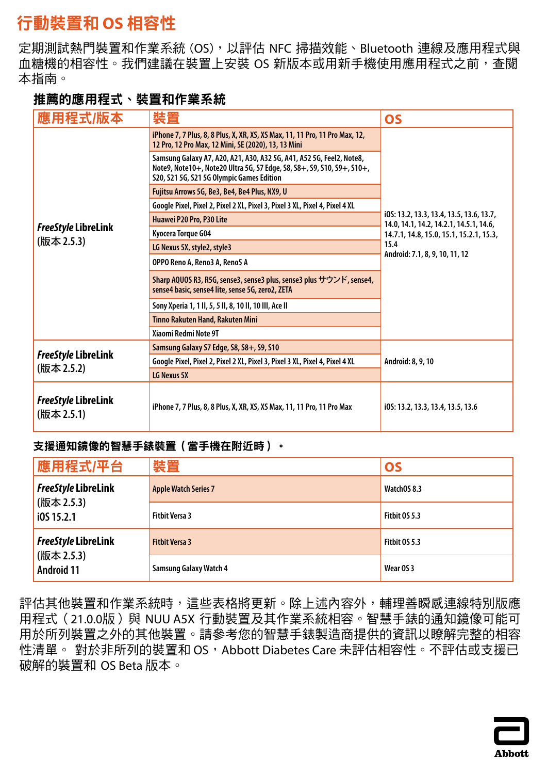# <span id="page-16-0"></span>行動裝置和 **OS** 相容性

定期測試熱門裝置和作業系統 (OS),以評估 NFC 掃描效能、Bluetooth 連線及應用程式與 血糖機的相容性。我們建議在裝置上安裝 OS 新版本或用新手機使用應用程式之前,查閱 本指南。

## 推薦的應用程式、裝置和作業系統

| <b>應用程式/版本</b>                           | 裝置                                                                                                                                                                                          | <b>OS</b>                                                                           |
|------------------------------------------|---------------------------------------------------------------------------------------------------------------------------------------------------------------------------------------------|-------------------------------------------------------------------------------------|
|                                          | iPhone 7, 7 Plus, 8, 8 Plus, X, XR, XS, XS Max, 11, 11 Pro, 11 Pro Max, 12,<br>12 Pro, 12 Pro Max, 12 Mini, SE (2020), 13, 13 Mini                                                          |                                                                                     |
|                                          | Samsung Galaxy A7, A20, A21, A30, A32 5G, A41, A52 5G, Feel2, Note8,<br>Note9, Note10+, Note20 Ultra 5G, S7 Edge, S8, S8+, S9, S10, S9+, S10+,<br>S20, S21 5G, S21 5G Olympic Games Edition |                                                                                     |
|                                          | Fujitsu Arrows 5G, Be3, Be4, Be4 Plus, NX9, U                                                                                                                                               |                                                                                     |
|                                          | Google Pixel, Pixel 2, Pixel 2 XL, Pixel 3, Pixel 3 XL, Pixel 4, Pixel 4 XL                                                                                                                 |                                                                                     |
|                                          | Huawei P20 Pro, P30 Lite                                                                                                                                                                    | i0S: 13.2, 13.3, 13.4, 13.5, 13.6, 13.7,<br>14.0, 14.1, 14.2, 14.2.1, 14.5.1, 14.6, |
| <i>FreeStyle</i> LibreLink               | Kyocera Torque G04                                                                                                                                                                          | 14.7.1, 14.8, 15.0, 15.1, 15.2.1, 15.3,                                             |
| (版本 2.5.3)                               | LG Nexus 5X, style2, style3                                                                                                                                                                 | 15.4<br>Android: 7.1, 8, 9, 10, 11, 12                                              |
|                                          | OPPO Reno A, Reno3 A, Reno5 A                                                                                                                                                               |                                                                                     |
|                                          | Sharp AQUOS R3, R5G, sense3, sense3 plus, sense3 plus サウンド, sense4,<br>sense4 basic, sense4 lite, sense 5G, zero2, ZETA                                                                     |                                                                                     |
|                                          | Sony Xperia 1, 1 II, 5, 5 II, 8, 10 II, 10 III, Ace II                                                                                                                                      |                                                                                     |
|                                          | Tinno Rakuten Hand, Rakuten Mini                                                                                                                                                            |                                                                                     |
|                                          | Xiaomi Redmi Note 9T                                                                                                                                                                        |                                                                                     |
|                                          | Samsung Galaxy S7 Edge, S8, S8+, S9, S10                                                                                                                                                    | Android: 8, 9, 10                                                                   |
| <b>FreeStyle LibreLink</b><br>(版本 2.5.2) | Google Pixel, Pixel 2, Pixel 2 XL, Pixel 3, Pixel 3 XL, Pixel 4, Pixel 4 XL                                                                                                                 |                                                                                     |
|                                          | LG Nexus 5X                                                                                                                                                                                 |                                                                                     |
| <b>FreeStyle LibreLink</b><br>(版本 2.5.1) | iPhone 7, 7 Plus, 8, 8 Plus, X, XR, XS, XS Max, 11, 11 Pro, 11 Pro Max                                                                                                                      | i05: 13.2, 13.3, 13.4, 13.5, 13.6                                                   |

### 支援通知鏡像的智慧手錶裝置(當手機在附近時)。

| 應用程式/平台                         | 裝置                            | <b>OS</b>     |
|---------------------------------|-------------------------------|---------------|
| <i>FreeStyle</i> LibreLink      | <b>Apple Watch Series 7</b>   | WatchOS 8.3   |
| (版本 2.5.3)<br>10515.2.1         | <b>Fitbit Versa 3</b>         | Fitbit OS 5.3 |
| <b>FreeStyle LibreLink</b>      | <b>Fitbit Versa 3</b>         | Fitbit OS 5.3 |
| (版本 2.5.3)<br><b>Android 11</b> | <b>Samsung Galaxy Watch 4</b> | Wear OS 3     |

評估其他裝置和作業系統時,這些表格將更新。除上述內容外,輔理善瞬感連線特別版應 用程式 (21.0.0版)與 NUU A5X 行動裝置及其作業系統相容。智慧手錶的通知鏡像可能可 用於所列裝置之外的其他裝置。請參考您的智慧手錶製造商提供的資訊以瞭解完整的相容 性清單。 對於非所列的裝置和 OS,Abbott Diabetes Care 未評估相容性。不評估或支援已 破解的裝置和 OS Beta 版本。

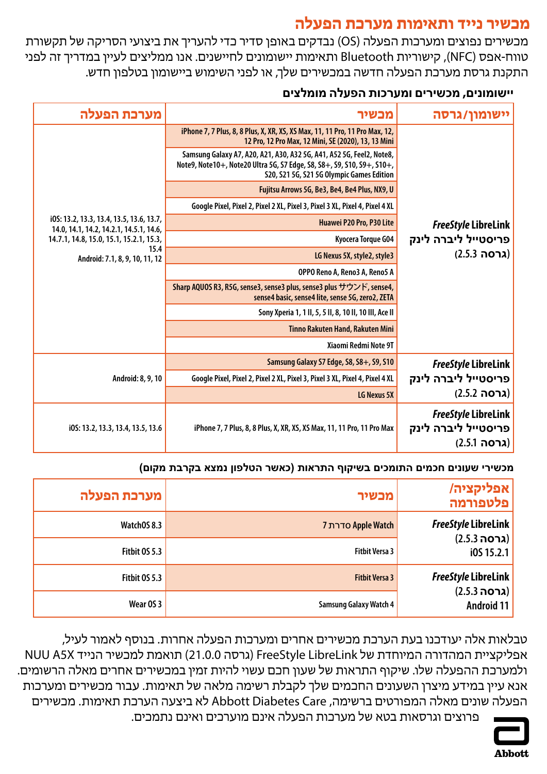## **מכשיר נייד ותאימות מערכת הפעלה**

<span id="page-17-0"></span>מכשירים נפוצים ומערכות הפעלה )OS )נבדקים באופן סדיר כדי להעריך את ביצועי הסריקה של תקשורת טווח-אפס )NFC), קישוריות Bluetooth ותאימות יישומונים לחיישנים. אנו ממליצים לעיין במדריך זה לפני התקנת גרסת מערכת הפעלה חדשה במכשירים שלך, או לפני השימוש ביישומון בטלפון חדש.

## **יישומונים, מכשירים ומערכות הפעלה מומלצים**

| מערכת הפעלה                                                                         | מכשיר                                                                                                                                                                                       | יישומון/גרסה                                                      |
|-------------------------------------------------------------------------------------|---------------------------------------------------------------------------------------------------------------------------------------------------------------------------------------------|-------------------------------------------------------------------|
|                                                                                     | iPhone 7, 7 Plus, 8, 8 Plus, X, XR, XS, XS Max, 11, 11 Pro, 11 Pro Max, 12,<br>12 Pro, 12 Pro Max, 12 Mini, SE (2020), 13, 13 Mini                                                          |                                                                   |
|                                                                                     | Samsung Galaxy A7, A20, A21, A30, A32 5G, A41, A52 5G, Feel2, Note8,<br>Note9, Note10+, Note20 Ultra 5G, S7 Edge, S8, S8+, S9, S10, S9+, S10+,<br>S20, S21 5G, S21 5G Olympic Games Edition |                                                                   |
|                                                                                     | Fujitsu Arrows 5G, Be3, Be4, Be4 Plus, NX9, U                                                                                                                                               |                                                                   |
|                                                                                     | Google Pixel, Pixel 2, Pixel 2 XL, Pixel 3, Pixel 3 XL, Pixel 4, Pixel 4 XL                                                                                                                 |                                                                   |
| i0S: 13.2, 13.3, 13.4, 13.5, 13.6, 13.7,<br>14.0, 14.1, 14.2, 14.2.1, 14.5.1, 14.6, | Huawei P20 Pro, P30 Lite                                                                                                                                                                    | <b>FreeStyle LibreLink</b>                                        |
| 14.7.1, 14.8, 15.0, 15.1, 15.2.1, 15.3,                                             | Kyocera Torque G04                                                                                                                                                                          | פריסטייל ליברה לינק                                               |
| 15.4<br>Android: 7.1, 8, 9, 10, 11, 12                                              | LG Nexus 5X, style2, style3                                                                                                                                                                 | (גרסה 2.5.3)                                                      |
|                                                                                     | OPPO Reno A, Reno3 A, Reno5 A                                                                                                                                                               |                                                                   |
|                                                                                     | Sharp AQUOS R3, R5G, sense3, sense3 plus, sense3 plus サウンド, sense4,<br>sense4 basic, sense4 lite, sense 5G, zero2, ZETA                                                                     |                                                                   |
|                                                                                     | Sony Xperia 1, 1 II, 5, 5 II, 8, 10 II, 10 III, Ace II                                                                                                                                      |                                                                   |
|                                                                                     | Tinno Rakuten Hand, Rakuten Mini                                                                                                                                                            |                                                                   |
|                                                                                     | Xiaomi Redmi Note 9T                                                                                                                                                                        |                                                                   |
|                                                                                     | Samsung Galaxy S7 Edge, S8, S8+, S9, S10                                                                                                                                                    | <b>FreeStyle LibreLink</b>                                        |
| Android: 8, 9, 10                                                                   | Google Pixel, Pixel 2, Pixel 2 XL, Pixel 3, Pixel 3 XL, Pixel 4, Pixel 4 XL                                                                                                                 | פריסטייל ליברה לינק                                               |
|                                                                                     | LG Nexus 5X                                                                                                                                                                                 | (גרסה 2.5.2)                                                      |
| i0S: 13.2, 13.3, 13.4, 13.5, 13.6                                                   | iPhone 7, 7 Plus, 8, 8 Plus, X, XR, XS, XS Max, 11, 11 Pro, 11 Pro Max                                                                                                                      | <b>FreeStyle LibreLink</b><br>פריסטייל ליברה לינק<br>(גרסה 2.5.1) |

### **מכשירי שעונים חכמים התומכים בשיקוף התראות )כאשר הטלפון נמצא בקרבת מקום(**

| אפליקציה/<br>פלטפורמה             | מכשיר                         | מערכת הפעלה   |
|-----------------------------------|-------------------------------|---------------|
| <b>FreeStyle LibreLink</b>        | <b>7 סדרת Apple Watch</b>     | WatchOS 8.3   |
| (גרסה 2.5.3)<br>i0S 15.2.1        | <b>Fitbit Versa 3</b>         | Fitbit OS 5.3 |
| <b>FreeStyle LibreLink</b>        | <b>Fitbit Versa 3</b>         | Fitbit OS 5.3 |
| (גרסה 2.5.3)<br><b>Android 11</b> | <b>Samsung Galaxy Watch 4</b> | Wear OS 3     |

טבלאות אלה יעודכנו בעת הערכת מכשירים אחרים ומערכות הפעלה אחרות. בנוסף לאמור לעיל, אפליקציית המהדורה המיוחדת של LibreLink FreeStyle( גרסה 21.0.0( תואמת למכשיר הנייד X5A NUU ולמערכת ההפעלה שלו. שיקוף התראות של שעון חכם עשוי להיות זמין במכשירים אחרים מאלה הרשומים. אנא עיין במידע מיצרן השעונים החכמים שלך לקבלת רשימה מלאה של תאימות. עבור מכשירים ומערכות הפעלה שונים מאלה המפורטים ברשימה, Care Diabetes Abbott לא ביצעה הערכת תאימות. מכשירים



פרוצים וגרסאות בטא של מערכות הפעלה אינם מוערכים ואינם נתמכים.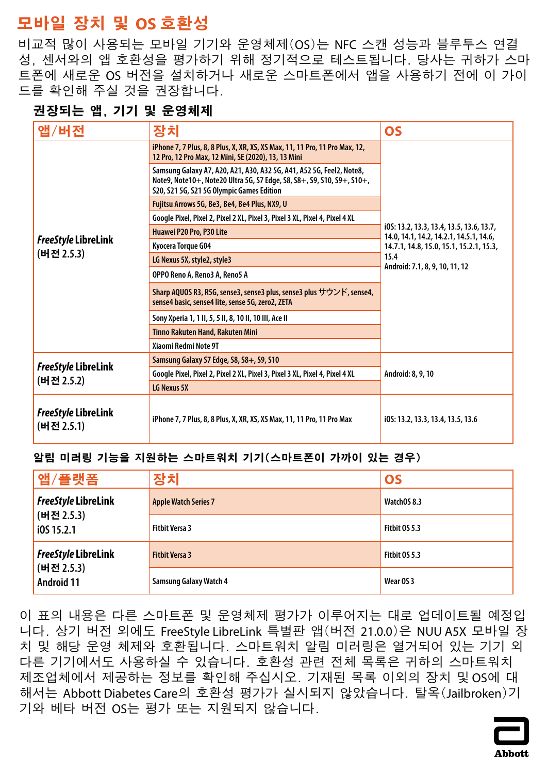# <span id="page-18-0"></span>**모바일 장치 및 OS 호환성**

비교적 많이 사용되는 모바일 기기와 운영체제(OS)는 NFC 스캔 성능과 블루투스 연결 성, 센서와의 앱 호환성을 평가하기 위해 정기적으로 테스트됩니다. 당사는 귀하가 스마 트폰에 새로운 OS 버전을 설치하거나 새로운 스마트폰에서 앱을 사용하기 전에 이 가이 드를 확인해 주실 것을 권장합니다.

## **권장되는 앱, 기기 및 운영체제**

| 앱/버전                                     | 장치                                                                                                                                                                                          | <b>OS</b>                                                                           |
|------------------------------------------|---------------------------------------------------------------------------------------------------------------------------------------------------------------------------------------------|-------------------------------------------------------------------------------------|
|                                          | iPhone 7, 7 Plus, 8, 8 Plus, X, XR, XS, XS Max, 11, 11 Pro, 11 Pro Max, 12,<br>12 Pro, 12 Pro Max, 12 Mini, SE (2020), 13, 13 Mini                                                          |                                                                                     |
|                                          | Samsung Galaxy A7, A20, A21, A30, A32 5G, A41, A52 5G, Feel2, Note8,<br>Note9, Note10+, Note20 Ultra 5G, S7 Edge, S8, S8+, S9, S10, S9+, S10+,<br>S20, S21 5G, S21 5G Olympic Games Edition |                                                                                     |
|                                          | Fujitsu Arrows 5G, Be3, Be4, Be4 Plus, NX9, U                                                                                                                                               |                                                                                     |
|                                          | Google Pixel, Pixel 2, Pixel 2 XL, Pixel 3, Pixel 3 XL, Pixel 4, Pixel 4 XL                                                                                                                 |                                                                                     |
|                                          | Huawei P20 Pro, P30 Lite                                                                                                                                                                    | i0S: 13.2, 13.3, 13.4, 13.5, 13.6, 13.7,<br>14.0, 14.1, 14.2, 14.2.1, 14.5.1, 14.6, |
| FreeStyle LibreLink                      | Kyocera Torque G04                                                                                                                                                                          | 14.7.1, 14.8, 15.0, 15.1, 15.2.1, 15.3,                                             |
| (버전 2.5.3)                               | LG Nexus 5X, style2, style3                                                                                                                                                                 | 15.4<br>Android: 7.1, 8, 9, 10, 11, 12                                              |
|                                          | OPPO Reno A, Reno3 A, Reno5 A                                                                                                                                                               |                                                                                     |
|                                          | Sharp AQUOS R3, R5G, sense3, sense3 plus, sense3 plus サウンド, sense4,<br>sense4 basic, sense4 lite, sense 5G, zero2, ZETA                                                                     |                                                                                     |
|                                          | Sony Xperia 1, 1 II, 5, 5 II, 8, 10 II, 10 III, Ace II                                                                                                                                      |                                                                                     |
|                                          | Tinno Rakuten Hand, Rakuten Mini                                                                                                                                                            |                                                                                     |
|                                          | Xiaomi Redmi Note 9T                                                                                                                                                                        |                                                                                     |
|                                          | Samsung Galaxy S7 Edge, S8, S8+, S9, S10                                                                                                                                                    | Android: 8, 9, 10                                                                   |
| <b>FreeStyle LibreLink</b><br>(버전 2.5.2) | Google Pixel, Pixel 2, Pixel 2 XL, Pixel 3, Pixel 3 XL, Pixel 4, Pixel 4 XL                                                                                                                 |                                                                                     |
|                                          | LG Nexus 5X                                                                                                                                                                                 |                                                                                     |
| <b>FreeStyle LibreLink</b><br>(버전 2.5.1) | iPhone 7, 7 Plus, 8, 8 Plus, X, XR, XS, XS Max, 11, 11 Pro, 11 Pro Max                                                                                                                      | i05: 13.2, 13.3, 13.4, 13.5, 13.6                                                   |

### **알림 미러링 기능을 지원하는 스마트워치 기기(스마트폰이 가까이 있는 경우)**

| <sup>!</sup> 앱/플랫폼              | 장치                            | <b>OS</b>     |
|---------------------------------|-------------------------------|---------------|
| <b>FreeStyle LibreLink</b>      | <b>Apple Watch Series 7</b>   | WatchOS 8.3   |
| (버전 2.5.3)<br>$i$ 0S 15.2.1     | <b>Fitbit Versa 3</b>         | Fitbit OS 5.3 |
| <b>FreeStyle LibreLink</b>      | <b>Fitbit Versa 3</b>         | Fitbit OS 5.3 |
| (버전 2.5.3)<br><b>Android 11</b> | <b>Samsung Galaxy Watch 4</b> | Wear OS 3     |

이 표의 내용은 다른 스마트폰 및 운영체제 평가가 이루어지는 대로 업데이트될 예정입 니다. 상기 버전 외에도 FreeStyle LibreLink 특별판 앱(버전 21.0.0)은 NUU A5X 모바일 장 치 및 해당 운영 체제와 호환됩니다. 스마트워치 알림 미러링은 열거되어 있는 기기 외 다른 기기에서도 사용하실 수 있습니다. 호환성 관련 전체 목록은 귀하의 스마트워치 제조업체에서 제공하는 정보를 확인해 주십시오. 기재된 목록 이외의 장치 및 OS에 대 해서는 Abbott Diabetes Care의 호환성 평가가 실시되지 않았습니다. 탈옥(Jailbroken)기 기와 베타 버전 OS는 평가 또는 지원되지 않습니다.

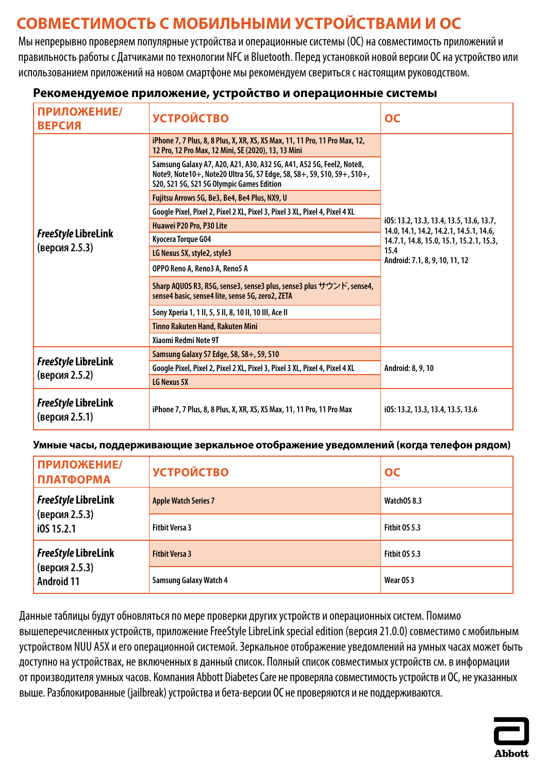# <span id="page-19-0"></span>**СОВМЕСТИМОСТЬ С МОБИЛЬНЫМИ УСТРОЙСТВАМИ И ОС**

Мы непрерывно проверяем популярные устройства и операционные системы (ОС) на совместимость приложений и правильность работы с Датчиками по технологии NFC и Bluetooth. Перед установкой новой версии ОС на устройство или использованием приложений на новом смартфоне мы рекомендуем свериться с настоящим руководством.

| ПРИЛОЖЕНИЕ/<br><b>ВЕРСИЯ</b>                 | <b>УСТРОЙСТВО</b>                                                                                                                                                                           | <b>OC</b>                                                                           |
|----------------------------------------------|---------------------------------------------------------------------------------------------------------------------------------------------------------------------------------------------|-------------------------------------------------------------------------------------|
|                                              | iPhone 7, 7 Plus, 8, 8 Plus, X, XR, XS, XS Max, 11, 11 Pro, 11 Pro Max, 12,<br>12 Pro, 12 Pro Max, 12 Mini, SE (2020), 13, 13 Mini                                                          |                                                                                     |
|                                              | Samsung Galaxy A7, A20, A21, A30, A32 5G, A41, A52 5G, Feel2, Note8,<br>Note9, Note10+, Note20 Ultra 5G, S7 Edge, S8, S8+, S9, S10, S9+, S10+,<br>S20, S21 5G, S21 5G Olympic Games Edition |                                                                                     |
|                                              | Fujitsu Arrows 5G, Be3, Be4, Be4 Plus, NX9, U                                                                                                                                               |                                                                                     |
|                                              | Google Pixel, Pixel 2, Pixel 2 XL, Pixel 3, Pixel 3 XL, Pixel 4, Pixel 4 XL                                                                                                                 |                                                                                     |
|                                              | Huawei P20 Pro, P30 Lite                                                                                                                                                                    | i0S: 13.2, 13.3, 13.4, 13.5, 13.6, 13.7,<br>14.0, 14.1, 14.2, 14.2.1, 14.5.1, 14.6, |
| <b>FreeStyle LibreLink</b>                   | Kyocera Torque G04                                                                                                                                                                          | 14.7.1, 14.8, 15.0, 15.1, 15.2.1, 15.3,<br>15.4<br>Android: 7.1, 8, 9, 10, 11, 12   |
| (версия 2.5.3)                               | LG Nexus 5X, style2, style3                                                                                                                                                                 |                                                                                     |
|                                              | OPPO Reno A, Reno3 A, Reno5 A                                                                                                                                                               |                                                                                     |
|                                              | Sharp AQUOS R3, R5G, sense3, sense3 plus, sense3 plus サウンド, sense4,<br>sense4 basic, sense4 lite, sense 5G, zero2, ZETA                                                                     |                                                                                     |
|                                              | Sony Xperia 1, 1 II, 5, 5 II, 8, 10 II, 10 III, Ace II                                                                                                                                      |                                                                                     |
|                                              | <b>Tinno Rakuten Hand, Rakuten Mini</b>                                                                                                                                                     |                                                                                     |
|                                              | Xiaomi Redmi Note 9T                                                                                                                                                                        |                                                                                     |
|                                              | Samsung Galaxy S7 Edge, S8, S8+, S9, S10                                                                                                                                                    | Android: 8, 9, 10                                                                   |
| FreeStyle LibreLink<br>(версия 2.5.2)        | Google Pixel, Pixel 2, Pixel 2 XL, Pixel 3, Pixel 3 XL, Pixel 4, Pixel 4 XL                                                                                                                 |                                                                                     |
|                                              | LG Nexus 5X                                                                                                                                                                                 |                                                                                     |
| <b>FreeStyle LibreLink</b><br>(версия 2.5.1) | iPhone 7, 7 Plus, 8, 8 Plus, X, XR, XS, XS Max, 11, 11 Pro, 11 Pro Max                                                                                                                      | i0S: 13.2, 13.3, 13.4, 13.5, 13.6                                                   |

### **Рекомендуемое приложение, устройство и операционные системы**

### **Умные часы, поддерживающие зеркальное отображение уведомлений (когда телефон рядом)**

| ПРИЛОЖЕНИЕ/<br><b>ПЛАТФОРМА</b>     | <b>УСТРОЙСТВО</b>             | OC                   |
|-------------------------------------|-------------------------------|----------------------|
| <b>FreeStyle LibreLink</b>          | <b>Apple Watch Series 7</b>   | WatchOS 8.3          |
| (версия 2.5.3)<br>i0S 15.2.1        | <b>Fitbit Versa 3</b>         | <b>Fitbit 0S 5.3</b> |
| <b>FreeStyle LibreLink</b>          | <b>Fitbit Versa 3</b>         | Fitbit OS 5.3        |
| (версия 2.5.3)<br><b>Android 11</b> | <b>Samsung Galaxy Watch 4</b> | Wear OS 3            |

Данные таблицы будут обновляться по мере проверки других устройств и операционных систем. Помимо вышеперечисленных устройств, приложение FreeStyle LibreLink special edition (версия 21.0.0) совместимо с мобильным устройством NUU A5X и его операционной системой. Зеркальное отображение уведомлений на умных часах может быть доступно на устройствах, не включенных в данный список. Полный список совместимых устройств см. в информации от производителя умных часов. Компания Abbott Diabetes Care не проверяла совместимость устройств и ОС, не указанных выше. Разблокированные (jailbreak) устройства и бета-версии ОС не проверяются и не поддерживаются.

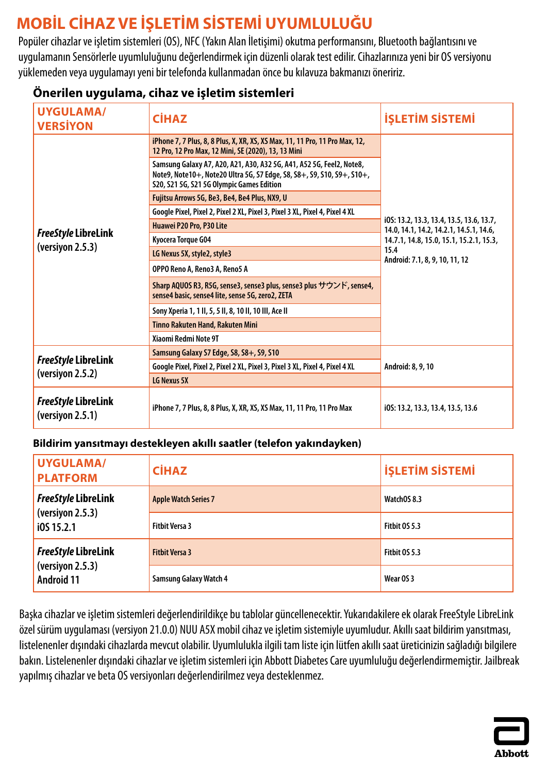# <span id="page-20-0"></span>**MOBİL CİHAZ VE İŞLETİM SİSTEMİ UYUMLULUĞU**

Popüler cihazlar ve işletim sistemleri (OS), NFC (Yakın Alan İletişimi) okutma performansını, Bluetooth bağlantısını ve uygulamanın Sensörlerle uyumluluğunu değerlendirmek için düzenli olarak test edilir. Cihazlarınıza yeni bir OS versiyonu yüklemeden veya uygulamayı yeni bir telefonda kullanmadan önce bu kılavuza bakmanızı öneririz.

## **Önerilen uygulama, cihaz ve işletim sistemleri**

| <b>UYGULAMA/</b><br><b>VERSIYON</b>            | <b>CİHAZ</b>                                                                                                                                                                                | <b>İŞLETİM SİSTEMİ</b>                                                              |
|------------------------------------------------|---------------------------------------------------------------------------------------------------------------------------------------------------------------------------------------------|-------------------------------------------------------------------------------------|
|                                                | iPhone 7, 7 Plus, 8, 8 Plus, X, XR, XS, XS Max, 11, 11 Pro, 11 Pro Max, 12,<br>12 Pro, 12 Pro Max, 12 Mini, SE (2020), 13, 13 Mini                                                          |                                                                                     |
|                                                | Samsung Galaxy A7, A20, A21, A30, A32 5G, A41, A52 5G, Feel2, Note8,<br>Note9, Note10+, Note20 Ultra 5G, S7 Edge, S8, S8+, S9, S10, S9+, S10+,<br>S20, S21 5G, S21 5G Olympic Games Edition |                                                                                     |
|                                                | Fujitsu Arrows 5G, Be3, Be4, Be4 Plus, NX9, U                                                                                                                                               |                                                                                     |
|                                                | Google Pixel, Pixel 2, Pixel 2 XL, Pixel 3, Pixel 3 XL, Pixel 4, Pixel 4 XL                                                                                                                 |                                                                                     |
|                                                | Huawei P20 Pro, P30 Lite                                                                                                                                                                    | i0S: 13.2, 13.3, 13.4, 13.5, 13.6, 13.7,<br>14.0, 14.1, 14.2, 14.2.1, 14.5.1, 14.6, |
| <b>FreeStyle LibreLink</b>                     | Kyocera Torque G04                                                                                                                                                                          | 14.7.1, 14.8, 15.0, 15.1, 15.2.1, 15.3,<br>15.4<br>Android: 7.1, 8, 9, 10, 11, 12   |
| (version 2.5.3)                                | LG Nexus 5X, style2, style3                                                                                                                                                                 |                                                                                     |
|                                                | OPPO Reno A, Reno3 A, Reno5 A                                                                                                                                                               |                                                                                     |
|                                                | Sharp AQUOS R3, R5G, sense3, sense3 plus, sense3 plus サウンド, sense4,<br>sense4 basic, sense4 lite, sense 5G, zero2, ZETA                                                                     |                                                                                     |
|                                                | Sony Xperia 1, 1 II, 5, 5 II, 8, 10 II, 10 III, Ace II                                                                                                                                      |                                                                                     |
|                                                | <b>Tinno Rakuten Hand, Rakuten Mini</b>                                                                                                                                                     |                                                                                     |
|                                                | Xiaomi Redmi Note 9T                                                                                                                                                                        |                                                                                     |
|                                                | Samsung Galaxy S7 Edge, S8, S8+, S9, S10                                                                                                                                                    | Android: 8, 9, 10                                                                   |
| <b>FreeStyle LibreLink</b><br>(versiyon 2.5.2) | Google Pixel, Pixel 2, Pixel 2 XL, Pixel 3, Pixel 3 XL, Pixel 4, Pixel 4 XL                                                                                                                 |                                                                                     |
|                                                | LG Nexus 5X                                                                                                                                                                                 |                                                                                     |
| <b>FreeStyle LibreLink</b><br>(version 2.5.1)  | iPhone 7, 7 Plus, 8, 8 Plus, X, XR, XS, XS Max, 11, 11 Pro, 11 Pro Max                                                                                                                      | i0S: 13.2, 13.3, 13.4, 13.5, 13.6                                                   |

### **Bildirim yansıtmayı destekleyen akıllı saatler (telefon yakındayken)**

| <b>UYGULAMA/</b><br><b>PLATFORM</b>  | <b>CİHAZ</b>                  | <b>İŞLETİM SİSTEMİ</b> |
|--------------------------------------|-------------------------------|------------------------|
| <b>FreeStyle LibreLink</b>           | <b>Apple Watch Series 7</b>   | WatchOS 8.3            |
| (versiyon 2.5.3)<br>i0S 15.2.1       | <b>Fitbit Versa 3</b>         | Fitbit 0S 5.3          |
| <b>FreeStyle LibreLink</b>           | <b>Fithit Versa 3</b>         | <b>Fitbit 0S 5.3</b>   |
| (version 2.5.3)<br><b>Android 11</b> | <b>Samsung Galaxy Watch 4</b> | Wear OS 3              |

Başka cihazlar ve işletim sistemleri değerlendirildikçe bu tablolar güncellenecektir. Yukarıdakilere ek olarak FreeStyle LibreLink özel sürüm uygulaması (versiyon 21.0.0) NUU A5X mobil cihaz ve işletim sistemiyle uyumludur. Akıllı saat bildirim yansıtması, listelenenler dışındaki cihazlarda mevcut olabilir. Uyumlulukla ilgili tam liste için lütfen akıllı saat üreticinizin sağladığı bilgilere bakın. Listelenenler dışındaki cihazlar ve işletim sistemleri için Abbott Diabetes Care uyumluluğu değerlendirmemiştir. Jailbreak yapılmış cihazlar ve beta OS versiyonları değerlendirilmez veya desteklenmez.

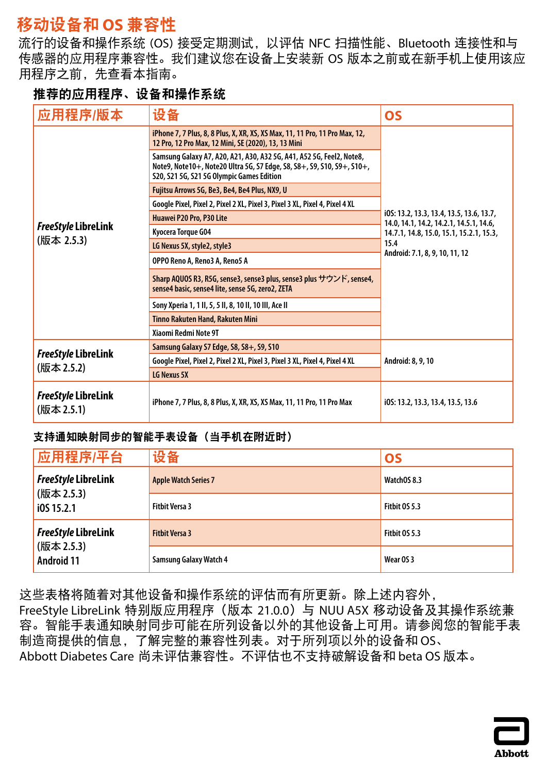# <span id="page-21-0"></span>移动设备和 **OS** 兼容性

流行的设备和操作系统 (OS) 接受定期测试,以评估 NFC 扫描性能、Bluetooth 连接性和与 传感器的应用程序兼容性。我们建议您在设备上安装新 OS 版本之前或在新手机上使用该应 用程序之前,先查看本指南。

## 推荐的应用程序、设备和操作系统

| 应用程序/版本                                  | 设备                                                                                                                                                                                          | <b>OS</b>                                                                           |
|------------------------------------------|---------------------------------------------------------------------------------------------------------------------------------------------------------------------------------------------|-------------------------------------------------------------------------------------|
|                                          | iPhone 7, 7 Plus, 8, 8 Plus, X, XR, XS, XS Max, 11, 11 Pro, 11 Pro Max, 12,<br>12 Pro, 12 Pro Max, 12 Mini, SE (2020), 13, 13 Mini                                                          |                                                                                     |
|                                          | Samsung Galaxy A7, A20, A21, A30, A32 5G, A41, A52 5G, Feel2, Note8,<br>Note9, Note10+, Note20 Ultra 5G, S7 Edge, S8, S8+, S9, S10, S9+, S10+,<br>S20, S21 5G, S21 5G Olympic Games Edition |                                                                                     |
|                                          | Fujitsu Arrows 5G, Be3, Be4, Be4 Plus, NX9, U                                                                                                                                               |                                                                                     |
|                                          | Google Pixel, Pixel 2, Pixel 2 XL, Pixel 3, Pixel 3 XL, Pixel 4, Pixel 4 XL                                                                                                                 |                                                                                     |
|                                          | Huawei P20 Pro, P30 Lite                                                                                                                                                                    | i0S: 13.2, 13.3, 13.4, 13.5, 13.6, 13.7,<br>14.0, 14.1, 14.2, 14.2.1, 14.5.1, 14.6, |
| <b>FreeStyle LibreLink</b>               | Kyocera Torque G04                                                                                                                                                                          | 14.7.1, 14.8, 15.0, 15.1, 15.2.1, 15.3,<br>15.4<br>Android: 7.1, 8, 9, 10, 11, 12   |
| (版本 2.5.3)                               | LG Nexus 5X, style2, style3                                                                                                                                                                 |                                                                                     |
|                                          | OPPO Reno A, Reno3 A, Reno5 A                                                                                                                                                               |                                                                                     |
|                                          | Sharp AQUOS R3, R5G, sense3, sense3 plus, sense3 plus サウンド, sense4,<br>sense4 basic, sense4 lite, sense 5G, zero2, ZETA                                                                     |                                                                                     |
|                                          | Sony Xperia 1, 1 II, 5, 5 II, 8, 10 II, 10 III, Ace II                                                                                                                                      |                                                                                     |
|                                          | <b>Tinno Rakuten Hand, Rakuten Mini</b>                                                                                                                                                     |                                                                                     |
|                                          | Xiaomi Redmi Note 9T                                                                                                                                                                        |                                                                                     |
| <b>FreeStyle LibreLink</b>               | Samsung Galaxy S7 Edge, S8, S8+, S9, S10                                                                                                                                                    |                                                                                     |
|                                          | Google Pixel, Pixel 2, Pixel 2 XL, Pixel 3, Pixel 3 XL, Pixel 4, Pixel 4 XL                                                                                                                 | Android: 8, 9, 10                                                                   |
| (版本 2.5.2)                               | LG Nexus 5X                                                                                                                                                                                 |                                                                                     |
| <b>FreeStyle LibreLink</b><br>(版本 2.5.1) | iPhone 7, 7 Plus, 8, 8 Plus, X, XR, XS, XS Max, 11, 11 Pro, 11 Pro Max                                                                                                                      | i0S: 13.2, 13.3, 13.4, 13.5, 13.6                                                   |

### 支持通知映射同步的智能手表设备(当手机在附近时)

| 应用程序/平台                         | 设备                            | <b>OS</b>     |
|---------------------------------|-------------------------------|---------------|
| <b>FreeStyle LibreLink</b>      | <b>Apple Watch Series 7</b>   | WatchOS 8.3   |
| (版本 2.5.3)<br>i0S 15.2.1        | <b>Fitbit Versa 3</b>         | Fitbit OS 5.3 |
| <b>FreeStyle LibreLink</b>      | <b>Fitbit Versa 3</b>         | Fitbit OS 5.3 |
| (版本 2.5.3)<br><b>Android 11</b> | <b>Samsung Galaxy Watch 4</b> | Wear OS 3     |

这些表格将随着对其他设备和操作系统的评估而有所更新。除上述内容外, FreeStyle LibreLink 特别版应用程序(版本 21.0.0)与 NUU A5X 移动设备及其操作系统兼 容。智能手表通知映射同步可能在所列设备以外的其他设备上可用。请参阅您的智能手表 制造商提供的信息,了解完整的兼容性列表。对于所列项以外的设备和 OS、 Abbott Diabetes Care 尚未评估兼容性。不评估也不支持破解设备和 beta OS 版本。

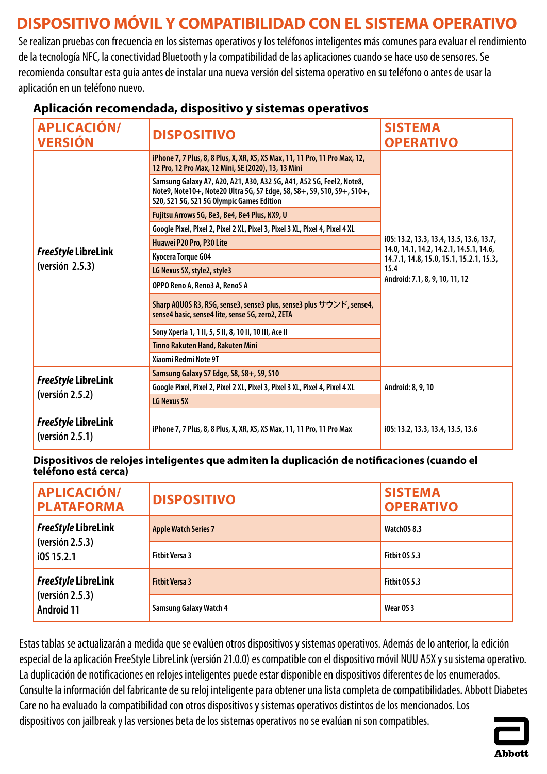# <span id="page-22-0"></span>**DISPOSITIVO MÓVIL Y COMPATIBILIDAD CON EL SISTEMA OPERATIVO**

Se realizan pruebas con frecuencia en los sistemas operativos y los teléfonos inteligentes más comunes para evaluar el rendimiento de la tecnología NFC, la conectividad Bluetooth y la compatibilidad de las aplicaciones cuando se hace uso de sensores. Se recomienda consultar esta guía antes de instalar una nueva versión del sistema operativo en su teléfono o antes de usar la aplicación en un teléfono nuevo.

| <b>APLICACIÓN/</b><br><b>VERSIÓN</b>          | <b>DISPOSITIVO</b>                                                                                                                                                                          | <b>SISTEMA</b><br><b>OPERATIVO</b>                                                  |
|-----------------------------------------------|---------------------------------------------------------------------------------------------------------------------------------------------------------------------------------------------|-------------------------------------------------------------------------------------|
|                                               | iPhone 7, 7 Plus, 8, 8 Plus, X, XR, XS, XS Max, 11, 11 Pro, 11 Pro Max, 12,<br>12 Pro, 12 Pro Max, 12 Mini, SE (2020), 13, 13 Mini                                                          |                                                                                     |
|                                               | Samsung Galaxy A7, A20, A21, A30, A32 5G, A41, A52 5G, Feel2, Note8,<br>Note9, Note10+, Note20 Ultra 5G, S7 Edge, S8, S8+, S9, S10, S9+, S10+,<br>S20, S21 5G, S21 5G Olympic Games Edition |                                                                                     |
|                                               | Fujitsu Arrows 5G, Be3, Be4, Be4 Plus, NX9, U                                                                                                                                               |                                                                                     |
|                                               | Google Pixel, Pixel 2, Pixel 2 XL, Pixel 3, Pixel 3 XL, Pixel 4, Pixel 4 XL                                                                                                                 |                                                                                     |
|                                               | Huawei P20 Pro, P30 Lite                                                                                                                                                                    | i0S: 13.2, 13.3, 13.4, 13.5, 13.6, 13.7,<br>14.0, 14.1, 14.2, 14.2.1, 14.5.1, 14.6, |
| <b>FreeStyle LibreLink</b>                    | Kyocera Torque G04                                                                                                                                                                          | 14.7.1, 14.8, 15.0, 15.1, 15.2.1, 15.3,<br>15.4<br>Android: 7.1, 8, 9, 10, 11, 12   |
| (version 2.5.3)                               | LG Nexus 5X, style2, style3                                                                                                                                                                 |                                                                                     |
|                                               | OPPO Reno A, Reno3 A, Reno5 A                                                                                                                                                               |                                                                                     |
|                                               | Sharp AQUOS R3, R5G, sense3, sense3 plus, sense3 plus サウンド, sense4,<br>sense4 basic, sense4 lite, sense 5G, zero2, ZETA                                                                     |                                                                                     |
|                                               | Sony Xperia 1, 1 II, 5, 5 II, 8, 10 II, 10 III, Ace II                                                                                                                                      |                                                                                     |
|                                               | <b>Tinno Rakuten Hand, Rakuten Mini</b>                                                                                                                                                     |                                                                                     |
|                                               | Xiaomi Redmi Note 9T                                                                                                                                                                        |                                                                                     |
| <b>FreeStyle LibreLink</b><br>(version 2.5.2) | Samsung Galaxy S7 Edge, S8, S8+, S9, S10                                                                                                                                                    | Android: 8, 9, 10                                                                   |
|                                               | Google Pixel, Pixel 2, Pixel 2 XL, Pixel 3, Pixel 3 XL, Pixel 4, Pixel 4 XL                                                                                                                 |                                                                                     |
|                                               | LG Nexus 5X                                                                                                                                                                                 |                                                                                     |
| <b>FreeStyle LibreLink</b><br>(yersión 2.5.1) | iPhone 7, 7 Plus, 8, 8 Plus, X, XR, XS, XS Max, 11, 11 Pro, 11 Pro Max                                                                                                                      | i0S: 13.2, 13.3, 13.4, 13.5, 13.6                                                   |

## **Aplicación recomendada, dispositivo y sistemas operativos**

**Dispositivos de relojes inteligentes que admiten la duplicación de notificaciones (cuando el teléfono está cerca)**

| <b>APLICACIÓN/</b><br><b>PLATAFORMA</b> | <b>DISPOSITIVO</b>            | <b>SISTEMA</b><br><b>OPERATIVO</b> |
|-----------------------------------------|-------------------------------|------------------------------------|
| <b>FreeStyle LibreLink</b>              | <b>Apple Watch Series 7</b>   | WatchOS 8.3                        |
| (yersión 2.5.3)<br>i0S 15.2.1           | <b>Fitbit Versa 3</b>         | Fitbit OS 5.3                      |
| <b>FreeStyle LibreLink</b>              | <b>Fithit Versa 3</b>         | <b>Fitbit 0S 5.3</b>               |
| (versión 2.5.3)<br><b>Android 11</b>    | <b>Samsung Galaxy Watch 4</b> | Wear OS 3                          |

Estas tablas se actualizarán a medida que se evalúen otros dispositivos y sistemas operativos. Además de lo anterior, la edición especial de la aplicación FreeStyle LibreLink (versión 21.0.0) es compatible con el dispositivo móvil NUU A5X y su sistema operativo. La duplicación de notificaciones en relojes inteligentes puede estar disponible en dispositivos diferentes de los enumerados. Consulte la información del fabricante de su reloj inteligente para obtener una lista completa de compatibilidades. Abbott Diabetes Care no ha evaluado la compatibilidad con otros dispositivos y sistemas operativos distintos de los mencionados. Los dispositivos con jailbreak y las versiones beta de los sistemas operativos no se evalúan ni son compatibles.